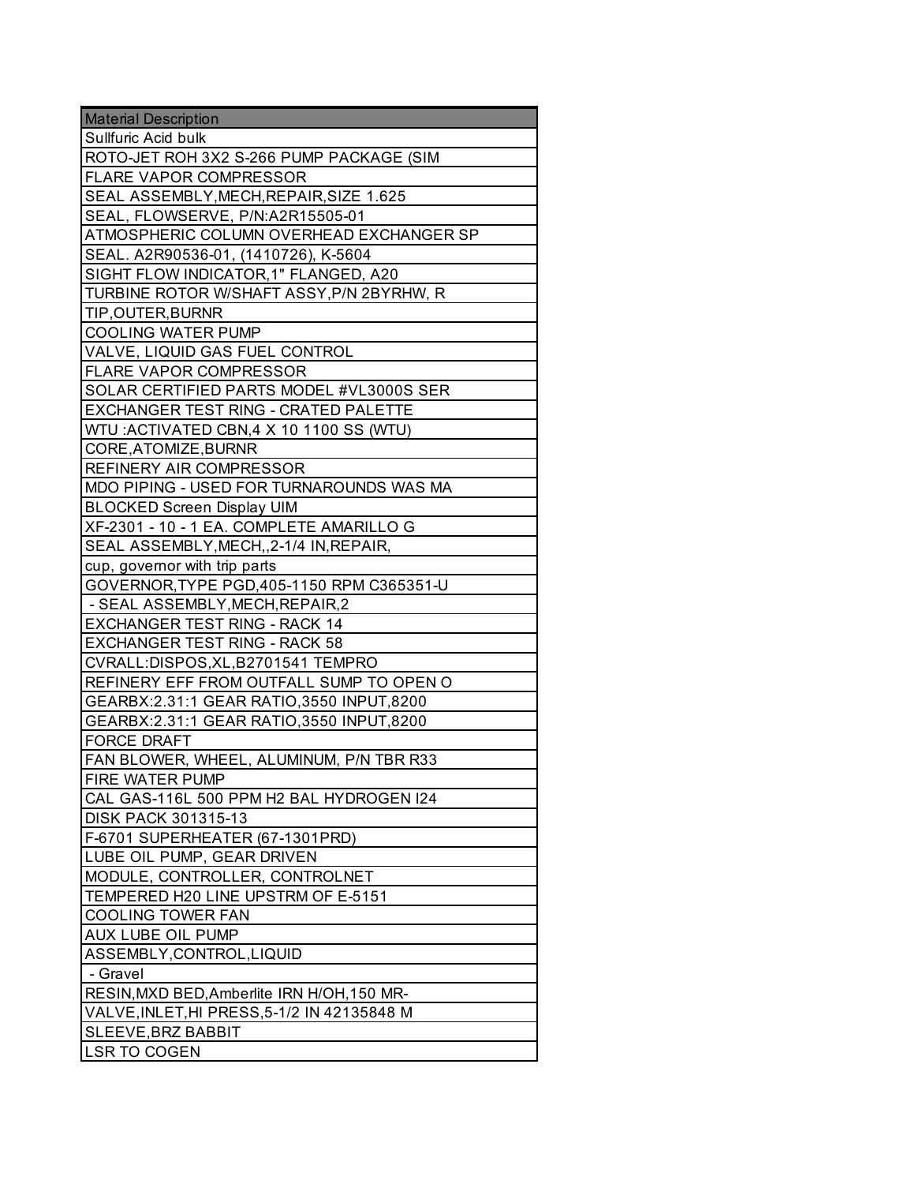| <b>Material Description</b>                 |
|---------------------------------------------|
| Sullfuric Acid bulk                         |
| ROTO-JET ROH 3X2 S-266 PUMP PACKAGE (SIM    |
| <b>FLARE VAPOR COMPRESSOR</b>               |
| SEAL ASSEMBLY, MECH, REPAIR, SIZE 1.625     |
| SEAL, FLOWSERVE, P/N:A2R15505-01            |
| ATMOSPHERIC COLUMN OVERHEAD EXCHANGER SP    |
| SEAL. A2R90536-01, (1410726), K-5604        |
| SIGHT FLOW INDICATOR, 1" FLANGED, A20       |
| TURBINE ROTOR W/SHAFT ASSY, P/N 2BYRHW, R   |
| TIP, OUTER, BURNR                           |
| <b>COOLING WATER PUMP</b>                   |
| VALVE, LIQUID GAS FUEL CONTROL              |
| <b>FLARE VAPOR COMPRESSOR</b>               |
| SOLAR CERTIFIED PARTS MODEL #VL3000S SER    |
| EXCHANGER TEST RING - CRATED PALETTE        |
| WTU: ACTIVATED CBN, 4 X 10 1100 SS (WTU)    |
| CORE, ATOMIZE, BURNR                        |
| <b>REFINERY AIR COMPRESSOR</b>              |
| MDO PIPING - USED FOR TURNAROUNDS WAS MA    |
| <b>BLOCKED Screen Display UIM</b>           |
| XF-2301 - 10 - 1 EA. COMPLETE AMARILLO G    |
| SEAL ASSEMBLY, MECH, 2-1/4 IN, REPAIR,      |
| cup, governor with trip parts               |
| GOVERNOR, TYPE PGD, 405-1150 RPM C365351-U  |
| - SEAL ASSEMBLY, MECH, REPAIR, 2            |
| <b>EXCHANGER TEST RING - RACK 14</b>        |
| <b>EXCHANGER TEST RING - RACK 58</b>        |
| CVRALL:DISPOS, XL, B2701541 TEMPRO          |
| REFINERY EFF FROM OUTFALL SUMP TO OPEN O    |
| GEARBX:2.31:1 GEAR RATIO, 3550 INPUT, 8200  |
| GEARBX:2.31:1 GEAR RATIO,3550 INPUT,8200    |
| <b>FORCE DRAFT</b>                          |
| FAN BLOWER, WHEEL, ALUMINUM, P/N TBR R33    |
| FIRE WATER PUMP                             |
| CAL GAS-116L 500 PPM H2 BAL HYDROGEN I24    |
| <b>DISK PACK 301315-13</b>                  |
| F-6701 SUPERHEATER (67-1301PRD)             |
| LUBE OIL PUMP, GEAR DRIVEN                  |
| MODULE, CONTROLLER, CONTROLNET              |
| TEMPERED H20 LINE UPSTRM OF E-5151          |
| <b>COOLING TOWER FAN</b>                    |
| AUX LUBE OIL PUMP                           |
| ASSEMBLY, CONTROL, LIQUID                   |
| - Gravel                                    |
| RESIN, MXD BED, Amberlite IRN H/OH, 150 MR- |
| VALVE, INLET, HI PRESS, 5-1/2 IN 42135848 M |
| SLEEVE, BRZ BABBIT                          |
| LSR TO COGEN                                |
|                                             |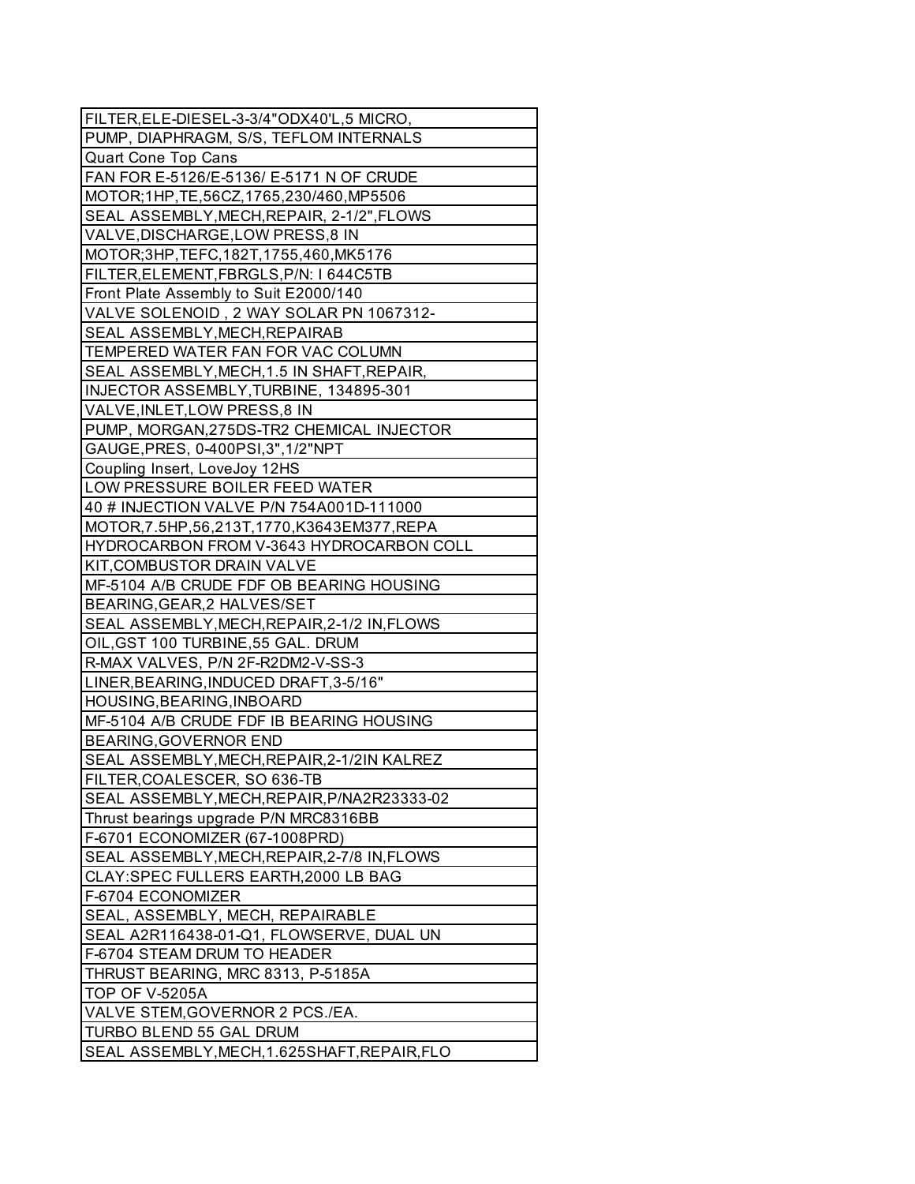| FILTER, ELE-DIESEL-3-3/4"ODX40'L, 5 MICRO,     |
|------------------------------------------------|
| PUMP, DIAPHRAGM, S/S, TEFLOM INTERNALS         |
| Quart Cone Top Cans                            |
| FAN FOR E-5126/E-5136/ E-5171 N OF CRUDE       |
| MOTOR;1HP,TE,56CZ,1765,230/460,MP5506          |
| SEAL ASSEMBLY, MECH, REPAIR, 2-1/2", FLOWS     |
| VALVE, DISCHARGE, LOW PRESS, 8 IN              |
| MOTOR; 3HP, TEFC, 182T, 1755, 460, MK5176      |
| FILTER, ELEMENT, FBRGLS, P/N: 1644C5TB         |
| Front Plate Assembly to Suit E2000/140         |
| VALVE SOLENOID, 2 WAY SOLAR PN 1067312-        |
| SEAL ASSEMBLY, MECH, REPAIRAB                  |
| TEMPERED WATER FAN FOR VAC COLUMN              |
| SEAL ASSEMBLY, MECH, 1.5 IN SHAFT, REPAIR,     |
| INJECTOR ASSEMBLY, TURBINE, 134895-301         |
| VALVE, INLET, LOW PRESS, 8 IN                  |
| PUMP, MORGAN, 275DS-TR2 CHEMICAL INJECTOR      |
| GAUGE, PRES, 0-400PSI, 3", 1/2"NPT             |
| Coupling Insert, LoveJoy 12HS                  |
| LOW PRESSURE BOILER FEED WATER                 |
| 40 # INJECTION VALVE P/N 754A001D-111000       |
| MOTOR, 7.5HP, 56, 213T, 1770, K3643EM377, REPA |
| HYDROCARBON FROM V-3643 HYDROCARBON COLL       |
| KIT, COMBUSTOR DRAIN VALVE                     |
| MF-5104 A/B CRUDE FDF OB BEARING HOUSING       |
| BEARING, GEAR, 2 HALVES/SET                    |
| SEAL ASSEMBLY, MECH, REPAIR, 2-1/2 IN, FLOWS   |
| OIL, GST 100 TURBINE, 55 GAL. DRUM             |
| R-MAX VALVES, P/N 2F-R2DM2-V-SS-3              |
| LINER, BEARING, INDUCED DRAFT, 3-5/16"         |
| HOUSING, BEARING, INBOARD                      |
| MF-5104 A/B CRUDE FDF IB BEARING HOUSING       |
| <b>BEARING, GOVERNOR END</b>                   |
| SEAL ASSEMBLY, MECH, REPAIR, 2-1/2IN KALREZ    |
| FILTER, COALESCER, SO 636-TB                   |
| SEAL ASSEMBLY, MECH, REPAIR, P/NA2R23333-02    |
| Thrust bearings upgrade P/N MRC8316BB          |
| F-6701 ECONOMIZER (67-1008PRD)                 |
| SEAL ASSEMBLY, MECH, REPAIR, 2-7/8 IN, FLOWS   |
| CLAY: SPEC FULLERS EARTH, 2000 LB BAG          |
| F-6704 ECONOMIZER                              |
| SEAL, ASSEMBLY, MECH, REPAIRABLE               |
| SEAL A2R116438-01-Q1, FLOWSERVE, DUAL UN       |
| F-6704 STEAM DRUM TO HEADER                    |
| THRUST BEARING, MRC 8313, P-5185A              |
| <b>TOP OF V-5205A</b>                          |
| VALVE STEM, GOVERNOR 2 PCS./EA.                |
| TURBO BLEND 55 GAL DRUM                        |
| SEAL ASSEMBLY, MECH, 1.625SHAFT, REPAIR, FLO   |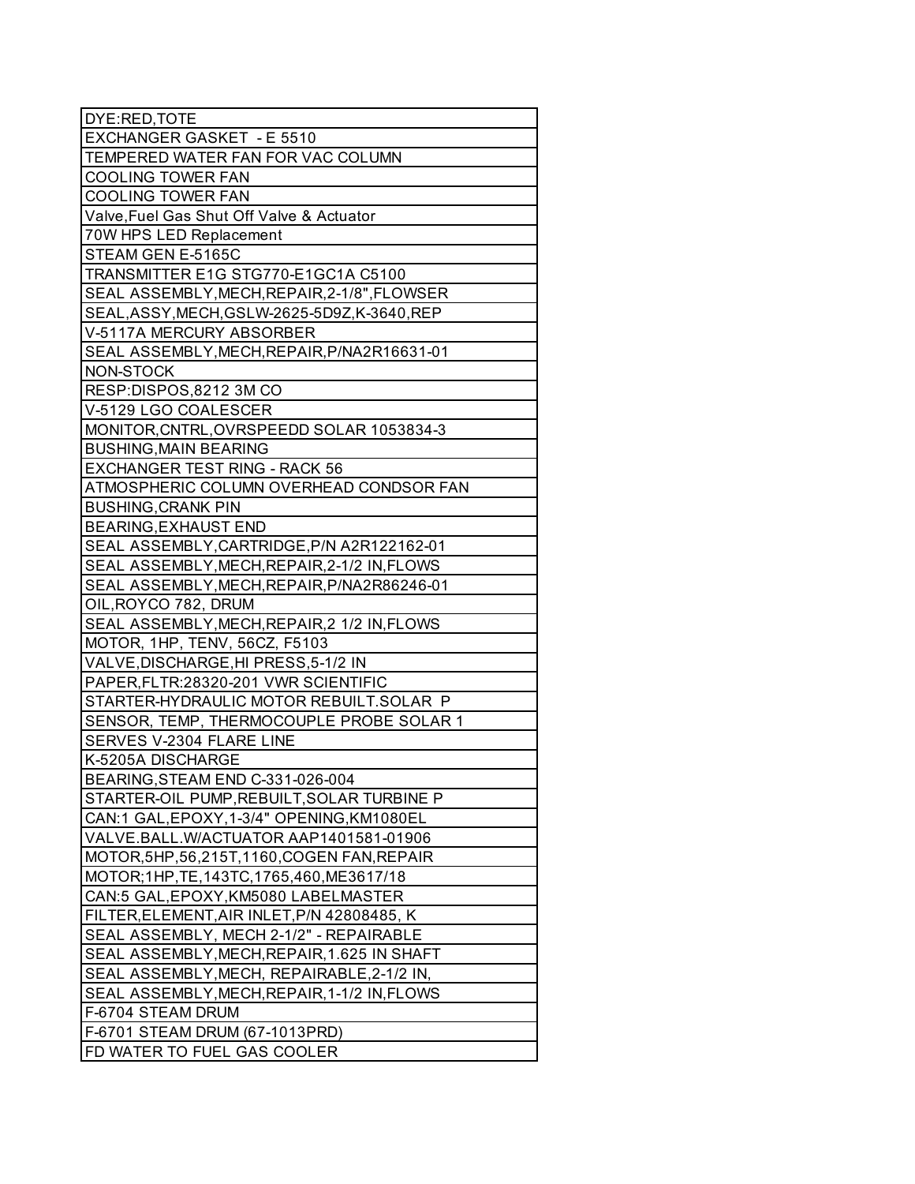| DYE:RED, TOTE                                 |
|-----------------------------------------------|
| EXCHANGER GASKET - E 5510                     |
| TEMPERED WATER FAN FOR VAC COLUMN             |
| <b>COOLING TOWER FAN</b>                      |
| <b>COOLING TOWER FAN</b>                      |
| Valve, Fuel Gas Shut Off Valve & Actuator     |
| 70W HPS LED Replacement                       |
| STEAM GEN E-5165C                             |
| TRANSMITTER E1G STG770-E1GC1A C5100           |
| SEAL ASSEMBLY, MECH, REPAIR, 2-1/8", FLOWSER  |
| SEAL, ASSY, MECH, GSLW-2625-5D9Z, K-3640, REP |
| V-5117A MERCURY ABSORBER                      |
| SEAL ASSEMBLY, MECH, REPAIR, P/NA2R16631-01   |
| NON-STOCK                                     |
| RESP:DISPOS,8212 3M CO                        |
| V-5129 LGO COALESCER                          |
| MONITOR, CNTRL, OVRSPEEDD SOLAR 1053834-3     |
| <b>BUSHING, MAIN BEARING</b>                  |
| <b>EXCHANGER TEST RING - RACK 56</b>          |
| ATMOSPHERIC COLUMN OVERHEAD CONDSOR FAN       |
| <b>BUSHING, CRANK PIN</b>                     |
| <b>BEARING, EXHAUST END</b>                   |
| SEAL ASSEMBLY, CARTRIDGE, P/N A2R122162-01    |
| SEAL ASSEMBLY, MECH, REPAIR, 2-1/2 IN, FLOWS  |
| SEAL ASSEMBLY, MECH, REPAIR, P/NA2R86246-01   |
| OIL, ROYCO 782, DRUM                          |
| SEAL ASSEMBLY, MECH, REPAIR, 2 1/2 IN, FLOWS  |
| MOTOR, 1HP, TENV, 56CZ, F5103                 |
| VALVE, DISCHARGE, HI PRESS, 5-1/2 IN          |
| PAPER, FLTR: 28320-201 VWR SCIENTIFIC         |
| STARTER-HYDRAULIC MOTOR REBUILT.SOLAR P       |
| SENSOR, TEMP, THERMOCOUPLE PROBE SOLAR 1      |
| SERVES V-2304 FLARE LINE                      |
| K-5205A DISCHARGE                             |
| BEARING, STEAM END C-331-026-004              |
| STARTER-OIL PUMP, REBUILT, SOLAR TURBINE P    |
| CAN:1 GAL, EPOXY, 1-3/4" OPENING, KM1080EL    |
| VALVE.BALL.W/ACTUATOR AAP1401581-01906        |
| MOTOR, 5HP, 56, 215T, 1160, COGEN FAN, REPAIR |
| MOTOR; 1HP, TE, 143TC, 1765, 460, ME3617/18   |
| CAN:5 GAL, EPOXY, KM5080 LABELMASTER          |
| FILTER, ELEMENT, AIR INLET, P/N 42808485, K   |
| SEAL ASSEMBLY, MECH 2-1/2" - REPAIRABLE       |
| SEAL ASSEMBLY, MECH, REPAIR, 1.625 IN SHAFT   |
| SEAL ASSEMBLY, MECH, REPAIRABLE, 2-1/2 IN,    |
| SEAL ASSEMBLY, MECH, REPAIR, 1-1/2 IN, FLOWS  |
| F-6704 STEAM DRUM                             |
| F-6701 STEAM DRUM (67-1013PRD)                |
| FD WATER TO FUEL GAS COOLER                   |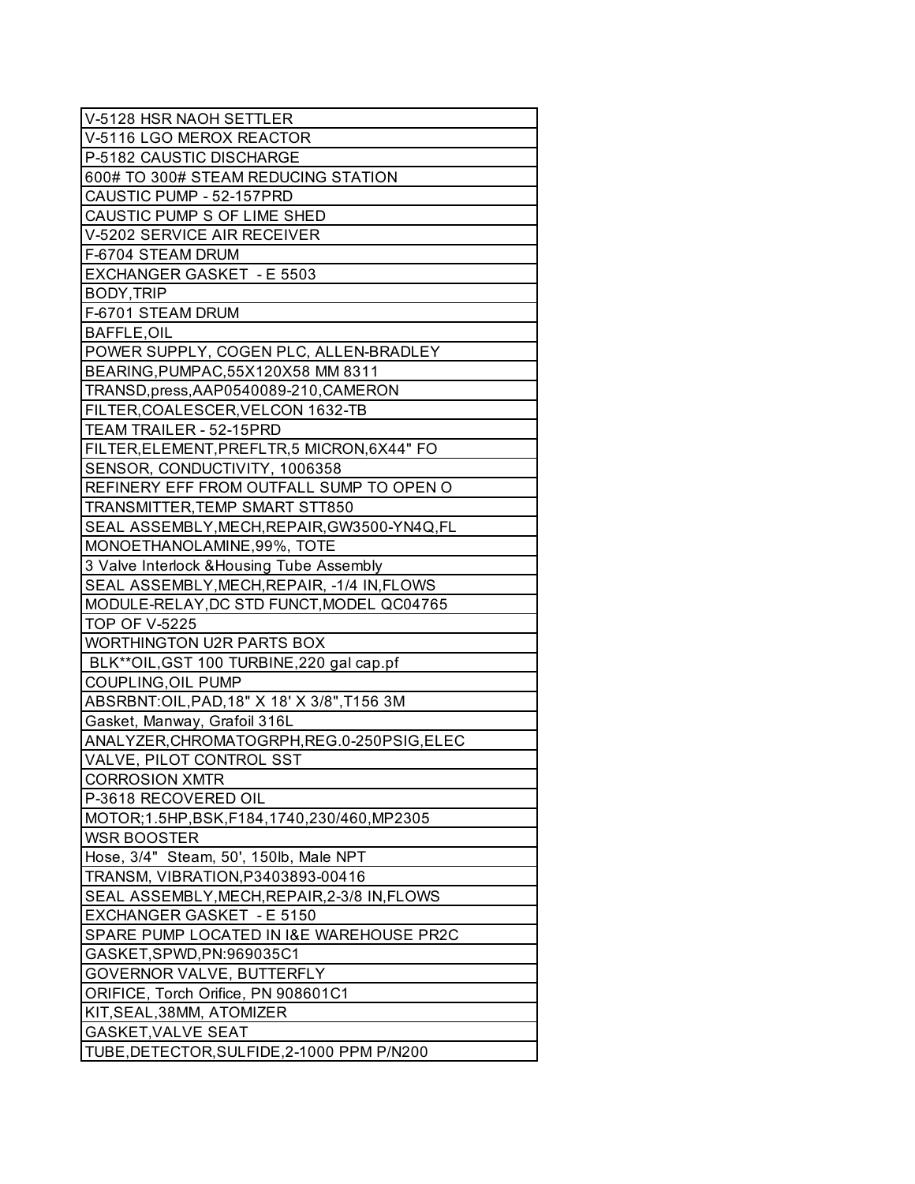| V-5128 HSR NAOH SETTLER                      |
|----------------------------------------------|
| V-5116 LGO MEROX REACTOR                     |
| P-5182 CAUSTIC DISCHARGE                     |
| 600# TO 300# STEAM REDUCING STATION          |
| CAUSTIC PUMP - 52-157PRD                     |
| CAUSTIC PUMP S OF LIME SHED                  |
| V-5202 SERVICE AIR RECEIVER                  |
| F-6704 STEAM DRUM                            |
| EXCHANGER GASKET - E 5503                    |
| BODY, TRIP                                   |
| F-6701 STEAM DRUM                            |
| <b>BAFFLE, OIL</b>                           |
| POWER SUPPLY, COGEN PLC, ALLEN-BRADLEY       |
| BEARING, PUMPAC, 55X120X58 MM 8311           |
| TRANSD, press, AAP0540089-210, CAMERON       |
| FILTER, COALESCER, VELCON 1632-TB            |
| TEAM TRAILER - 52-15PRD                      |
| FILTER, ELEMENT, PREFLTR, 5 MICRON, 6X44" FO |
| SENSOR, CONDUCTIVITY, 1006358                |
| REFINERY EFF FROM OUTFALL SUMP TO OPEN O     |
| TRANSMITTER, TEMP SMART STT850               |
| SEAL ASSEMBLY, MECH, REPAIR, GW3500-YN4Q, FL |
| MONOETHANOLAMINE, 99%, TOTE                  |
| 3 Valve Interlock & Housing Tube Assembly    |
| SEAL ASSEMBLY, MECH, REPAIR, -1/4 IN, FLOWS  |
| MODULE-RELAY, DC STD FUNCT, MODEL QC04765    |
| <b>TOP OF V-5225</b>                         |
| <b>WORTHINGTON U2R PARTS BOX</b>             |
| BLK**OIL, GST 100 TURBINE, 220 gal cap.pf    |
| <b>COUPLING, OIL PUMP</b>                    |
| ABSRBNT: OIL, PAD, 18" X 18' X 3/8", T156 3M |
| Gasket, Manway, Grafoil 316L                 |
| ANALYZER, CHROMATOGRPH, REG.0-250PSIG, ELEC  |
| VALVE, PILOT CONTROL SST                     |
| <b>CORROSION XMTR</b>                        |
| P-3618 RECOVERED OIL                         |
| MOTOR;1.5HP,BSK,F184,1740,230/460,MP2305     |
| <b>WSR BOOSTER</b>                           |
| Hose, 3/4" Steam, 50', 150lb, Male NPT       |
| TRANSM, VIBRATION, P3403893-00416            |
| SEAL ASSEMBLY, MECH, REPAIR, 2-3/8 IN, FLOWS |
| EXCHANGER GASKET - E 5150                    |
| SPARE PUMP LOCATED IN I&E WAREHOUSE PR2C     |
| GASKET, SPWD, PN: 969035C1                   |
| <b>GOVERNOR VALVE, BUTTERFLY</b>             |
| ORIFICE, Torch Orifice, PN 908601C1          |
| KIT, SEAL, 38MM, ATOMIZER                    |
| <b>GASKET, VALVE SEAT</b>                    |
| TUBE, DETECTOR, SULFIDE, 2-1000 PPM P/N200   |
|                                              |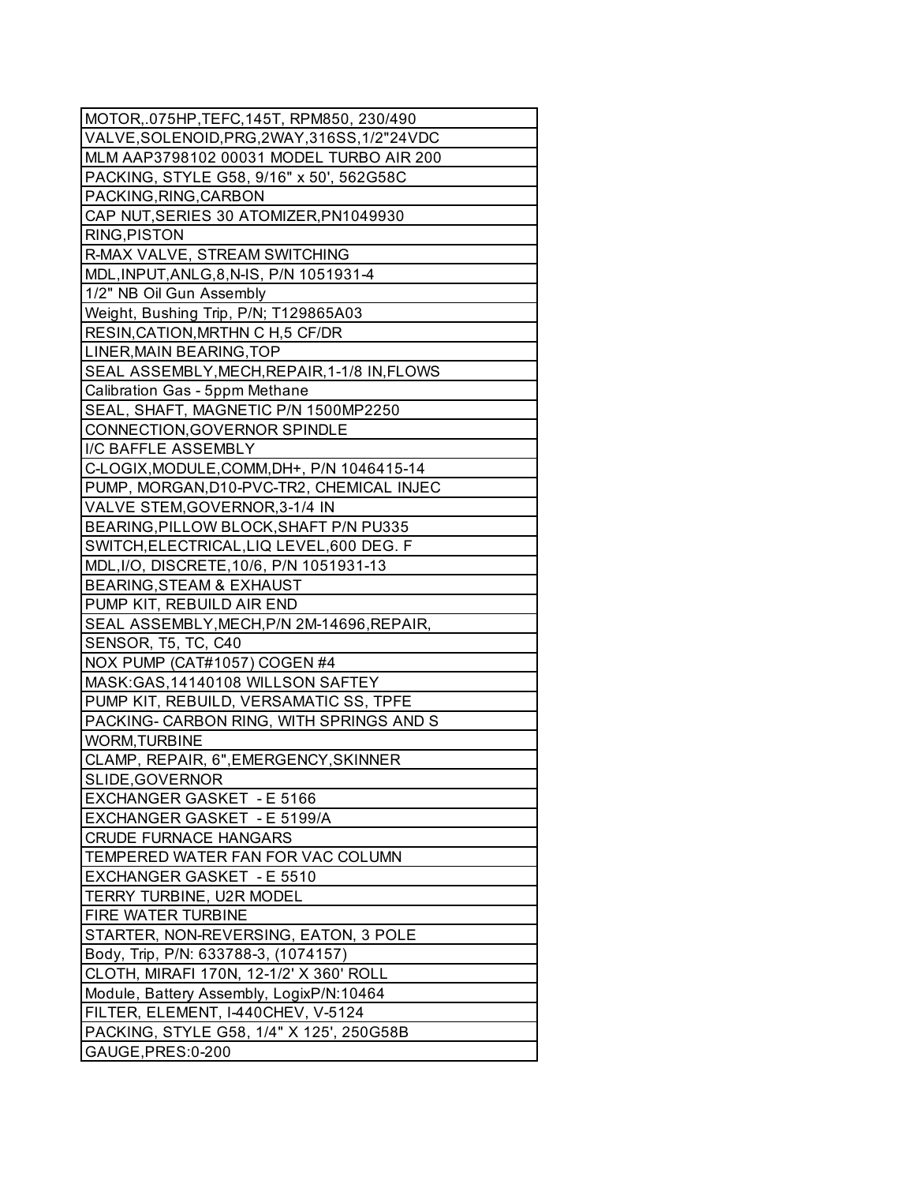| MOTOR, 075HP, TEFC, 145T, RPM850, 230/490    |
|----------------------------------------------|
| VALVE, SOLENOID, PRG, 2WAY, 316SS, 1/2"24VDC |
| MLM AAP3798102 00031 MODEL TURBO AIR 200     |
| PACKING, STYLE G58, 9/16" x 50', 562G58C     |
| PACKING, RING, CARBON                        |
| CAP NUT, SERIES 30 ATOMIZER, PN1049930       |
| RING, PISTON                                 |
| R-MAX VALVE, STREAM SWITCHING                |
| MDL, INPUT, ANLG, 8, N-IS, P/N 1051931-4     |
| 1/2" NB Oil Gun Assembly                     |
| Weight, Bushing Trip, P/N; T129865A03        |
| RESIN, CATION, MRTHN C H, 5 CF/DR            |
| LINER, MAIN BEARING, TOP                     |
| SEAL ASSEMBLY, MECH, REPAIR, 1-1/8 IN, FLOWS |
| Calibration Gas - 5ppm Methane               |
| SEAL, SHAFT, MAGNETIC P/N 1500MP2250         |
| CONNECTION, GOVERNOR SPINDLE                 |
| I/C BAFFLE ASSEMBLY                          |
| C-LOGIX, MODULE, COMM, DH+, P/N 1046415-14   |
| PUMP, MORGAN, D10-PVC-TR2, CHEMICAL INJEC    |
| VALVE STEM, GOVERNOR, 3-1/4 IN               |
| BEARING, PILLOW BLOCK, SHAFT P/N PU335       |
| SWITCH, ELECTRICAL, LIQ LEVEL, 600 DEG. F    |
| MDL, I/O, DISCRETE, 10/6, P/N 1051931-13     |
| <b>BEARING, STEAM &amp; EXHAUST</b>          |
| PUMP KIT, REBUILD AIR END                    |
| SEAL ASSEMBLY, MECH, P/N 2M-14696, REPAIR,   |
| SENSOR, T5, TC, C40                          |
| NOX PUMP (CAT#1057) COGEN #4                 |
| MASK: GAS, 14140108 WILLSON SAFTEY           |
| PUMP KIT, REBUILD, VERSAMATIC SS, TPFE       |
| PACKING- CARBON RING, WITH SPRINGS AND S     |
| <b>WORM, TURBINE</b>                         |
| CLAMP, REPAIR, 6", EMERGENCY, SKINNER        |
| SLIDE, GOVERNOR                              |
| EXCHANGER GASKET - E 5166                    |
| EXCHANGER GASKET - E 5199/A                  |
| <b>CRUDE FURNACE HANGARS</b>                 |
| TEMPERED WATER FAN FOR VAC COLUMN            |
| EXCHANGER GASKET - E 5510                    |
| TERRY TURBINE, U2R MODEL                     |
| FIRE WATER TURBINE                           |
| STARTER, NON-REVERSING, EATON, 3 POLE        |
| Body, Trip, P/N: 633788-3, (1074157)         |
| CLOTH, MIRAFI 170N, 12-1/2' X 360' ROLL      |
| Module, Battery Assembly, LogixP/N:10464     |
| FILTER, ELEMENT, I-440CHEV, V-5124           |
| PACKING, STYLE G58, 1/4" X 125', 250G58B     |
| GAUGE, PRES: 0-200                           |
|                                              |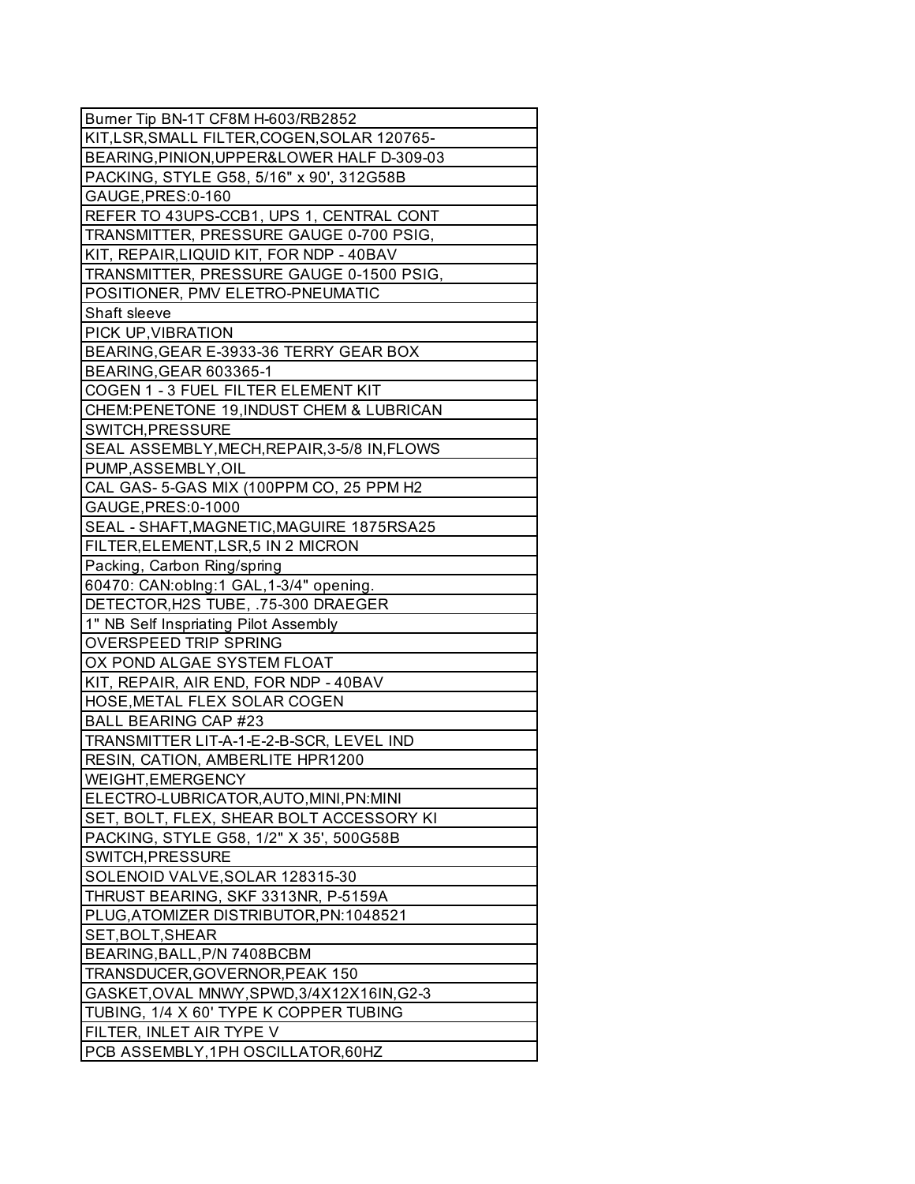| Burner Tip BN-1T CF8M H-603/RB2852                    |
|-------------------------------------------------------|
| KIT,LSR, SMALL FILTER, COGEN, SOLAR 120765-           |
| BEARING, PINION, UPPER&LOWER HALF D-309-03            |
| PACKING, STYLE G58, 5/16" x 90', 312G58B              |
| GAUGE, PRES: 0-160                                    |
| REFER TO 43UPS-CCB1, UPS 1, CENTRAL CONT              |
| TRANSMITTER, PRESSURE GAUGE 0-700 PSIG,               |
| KIT, REPAIR, LIQUID KIT, FOR NDP - 40BAV              |
| TRANSMITTER, PRESSURE GAUGE 0-1500 PSIG,              |
| POSITIONER, PMV ELETRO-PNEUMATIC                      |
| Shaft sleeve                                          |
| PICK UP, VIBRATION                                    |
| BEARING, GEAR E-3933-36 TERRY GEAR BOX                |
| BEARING, GEAR 603365-1                                |
| COGEN 1 - 3 FUEL FILTER ELEMENT KIT                   |
| CHEM:PENETONE 19, INDUST CHEM & LUBRICAN              |
| SWITCH, PRESSURE                                      |
| SEAL ASSEMBLY, MECH, REPAIR, 3-5/8 IN, FLOWS          |
| PUMP, ASSEMBLY, OIL                                   |
| CAL GAS-5-GAS MIX (100PPM CO, 25 PPM H2               |
| GAUGE, PRES: 0-1000                                   |
| SEAL - SHAFT, MAGNETIC, MAGUIRE 1875RSA25             |
| FILTER, ELEMENT, LSR, 5 IN 2 MICRON                   |
| Packing, Carbon Ring/spring                           |
| 60470: CAN:oblng:1 GAL, 1-3/4" opening.               |
| DETECTOR, H2S TUBE, .75-300 DRAEGER                   |
| 1" NB Self Inspriating Pilot Assembly                 |
| OVERSPEED TRIP SPRING                                 |
| OX POND ALGAE SYSTEM FLOAT                            |
| KIT, REPAIR, AIR END, FOR NDP - 40BAV                 |
| HOSE, METAL FLEX SOLAR COGEN                          |
| <b>BALL BEARING CAP #23</b>                           |
| TRANSMITTER LIT-A-1-E-2-B-SCR, LEVEL IND              |
|                                                       |
| RESIN, CATION, AMBERLITE HPR1200<br>WEIGHT, EMERGENCY |
|                                                       |
| ELECTRO-LUBRICATOR, AUTO, MINI, PN: MINI              |
| SET, BOLT, FLEX, SHEAR BOLT ACCESSORY KI              |
| PACKING, STYLE G58, 1/2" X 35', 500G58B               |
| SWITCH, PRESSURE                                      |
| SOLENOID VALVE, SOLAR 128315-30                       |
| THRUST BEARING, SKF 3313NR, P-5159A                   |
| PLUG, ATOMIZER DISTRIBUTOR, PN: 1048521               |
| SET, BOLT, SHEAR                                      |
| BEARING, BALL, P/N 7408BCBM                           |
| TRANSDUCER, GOVERNOR, PEAK 150                        |
| GASKET, OVAL MNWY, SPWD, 3/4X12X16IN, G2-3            |
| TUBING, 1/4 X 60' TYPE K COPPER TUBING                |
| FILTER, INLET AIR TYPE V                              |
| PCB ASSEMBLY, 1PH OSCILLATOR, 60HZ                    |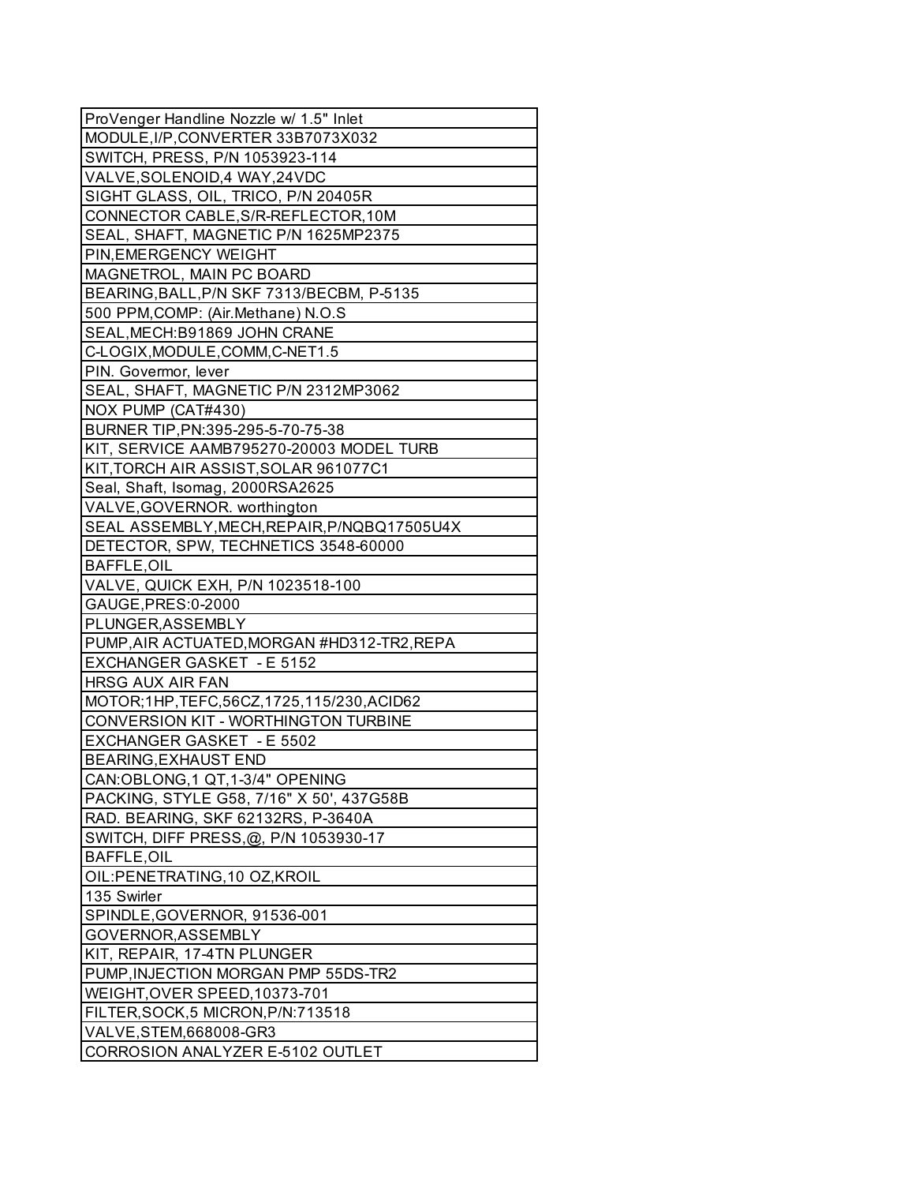| ProVenger Handline Nozzle w/ 1.5" Inlet     |
|---------------------------------------------|
| MODULE, I/P, CONVERTER 33B7073X032          |
| SWITCH, PRESS, P/N 1053923-114              |
| VALVE, SOLENOID, 4 WAY, 24VDC               |
| SIGHT GLASS, OIL, TRICO, P/N 20405R         |
| CONNECTOR CABLE, S/R-REFLECTOR, 10M         |
| SEAL, SHAFT, MAGNETIC P/N 1625MP2375        |
| PIN, EMERGENCY WEIGHT                       |
| MAGNETROL, MAIN PC BOARD                    |
| BEARING, BALL, P/N SKF 7313/BECBM, P-5135   |
| 500 PPM, COMP: (Air. Methane) N.O.S         |
| SEAL, MECH: B91869 JOHN CRANE               |
| C-LOGIX, MODULE, COMM, C-NET1.5             |
| PIN. Govermor, lever                        |
| SEAL, SHAFT, MAGNETIC P/N 2312MP3062        |
| NOX PUMP (CAT#430)                          |
| BURNER TIP, PN: 395-295-5-70-75-38          |
| KIT, SERVICE AAMB795270-20003 MODEL TURB    |
| KIT, TORCH AIR ASSIST, SOLAR 961077C1       |
| Seal, Shaft, Isomag, 2000RSA2625            |
| VALVE, GOVERNOR. worthington                |
| SEAL ASSEMBLY, MECH, REPAIR, P/NQBQ17505U4X |
| DETECTOR, SPW, TECHNETICS 3548-60000        |
| <b>BAFFLE, OIL</b>                          |
| VALVE, QUICK EXH, P/N 1023518-100           |
| GAUGE, PRES: 0-2000                         |
| PLUNGER, ASSEMBLY                           |
| PUMP, AIR ACTUATED, MORGAN #HD312-TR2, REPA |
| <b>EXCHANGER GASKET - E 5152</b>            |
| <b>HRSG AUX AIR FAN</b>                     |
| MOTOR;1HP,TEFC,56CZ,1725,115/230,ACID62     |
| <b>CONVERSION KIT - WORTHINGTON TURBINE</b> |
| EXCHANGER GASKET - E 5502                   |
| <b>BEARING, EXHAUST END</b>                 |
| CAN:OBLONG,1 QT,1-3/4" OPENING              |
| PACKING, STYLE G58, 7/16" X 50', 437G58B    |
| RAD. BEARING, SKF 62132RS, P-3640A          |
| SWITCH, DIFF PRESS, @, P/N 1053930-17       |
| <b>BAFFLE, OIL</b>                          |
| OIL:PENETRATING, 10 OZ, KROIL               |
| 135 Swirler                                 |
| SPINDLE, GOVERNOR, 91536-001                |
| GOVERNOR, ASSEMBLY                          |
| KIT, REPAIR, 17-4TN PLUNGER                 |
| PUMP, INJECTION MORGAN PMP 55DS-TR2         |
| WEIGHT, OVER SPEED, 10373-701               |
| FILTER, SOCK, 5 MICRON, P/N: 713518         |
| VALVE, STEM, 668008-GR3                     |
| CORROSION ANALYZER E-5102 OUTLET            |
|                                             |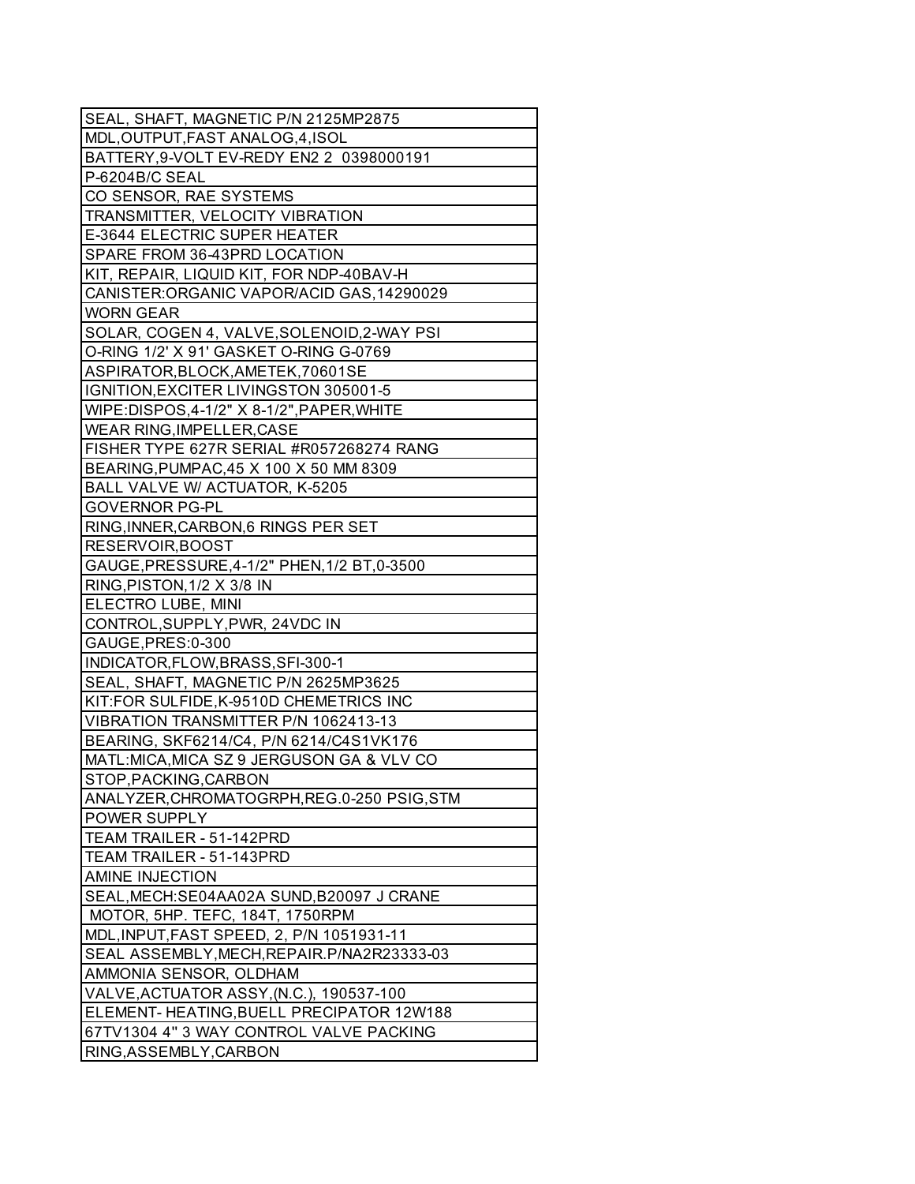| SEAL, SHAFT, MAGNETIC P/N 2125MP2875         |
|----------------------------------------------|
| MDL, OUTPUT, FAST ANALOG, 4, ISOL            |
| BATTERY, 9-VOLT EV-REDY EN2 2 0398000191     |
| P-6204B/C SEAL                               |
| CO SENSOR, RAE SYSTEMS                       |
| TRANSMITTER, VELOCITY VIBRATION              |
| E-3644 ELECTRIC SUPER HEATER                 |
| SPARE FROM 36-43PRD LOCATION                 |
| KIT, REPAIR, LIQUID KIT, FOR NDP-40BAV-H     |
| CANISTER:ORGANIC VAPOR/ACID GAS, 14290029    |
| <b>WORN GEAR</b>                             |
| SOLAR, COGEN 4, VALVE, SOLENOID, 2-WAY PSI   |
| O-RING 1/2' X 91' GASKET O-RING G-0769       |
| ASPIRATOR, BLOCK, AMETEK, 70601SE            |
| IGNITION, EXCITER LIVINGSTON 305001-5        |
| WIPE:DISPOS, 4-1/2" X 8-1/2", PAPER, WHITE   |
| WEAR RING, IMPELLER, CASE                    |
| FISHER TYPE 627R SERIAL #R057268274 RANG     |
| BEARING, PUMPAC, 45 X 100 X 50 MM 8309       |
| BALL VALVE W/ ACTUATOR, K-5205               |
| <b>GOVERNOR PG-PL</b>                        |
| RING, INNER, CARBON, 6 RINGS PER SET         |
| RESERVOIR, BOOST                             |
| GAUGE, PRESSURE, 4-1/2" PHEN, 1/2 BT, 0-3500 |
| $RING,PISTON, 1/2 \times 3/8 IN$             |
| ELECTRO LUBE, MINI                           |
| CONTROL, SUPPLY, PWR, 24VDC IN               |
| GAUGE, PRES: 0-300                           |
| INDICATOR, FLOW, BRASS, SFI-300-1            |
| SEAL, SHAFT, MAGNETIC P/N 2625MP3625         |
| KIT:FOR SULFIDE,K-9510D CHEMETRICS INC       |
| VIBRATION TRANSMITTER P/N 1062413-13         |
| BEARING, SKF6214/C4, P/N 6214/C4S1VK176      |
| MATL: MICA, MICA SZ 9 JERGUSON GA & VLV CO   |
| STOP, PACKING, CARBON                        |
| ANALYZER, CHROMATOGRPH, REG.0-250 PSIG, STM  |
| POWER SUPPLY                                 |
| TEAM TRAILER - 51-142PRD                     |
| TEAM TRAILER - 51-143PRD                     |
| <b>AMINE INJECTION</b>                       |
| SEAL, MECH: SE04AA02A SUND, B20097 J CRANE   |
| MOTOR, 5HP. TEFC, 184T, 1750RPM              |
| MDL, INPUT, FAST SPEED, 2, P/N 1051931-11    |
| SEAL ASSEMBLY, MECH, REPAIR. P/NA2R23333-03  |
| AMMONIA SENSOR, OLDHAM                       |
| VALVE, ACTUATOR ASSY, (N.C.), 190537-100     |
| ELEMENT-HEATING, BUELL PRECIPATOR 12W188     |
| 67TV1304 4" 3 WAY CONTROL VALVE PACKING      |
| RING, ASSEMBLY, CARBON                       |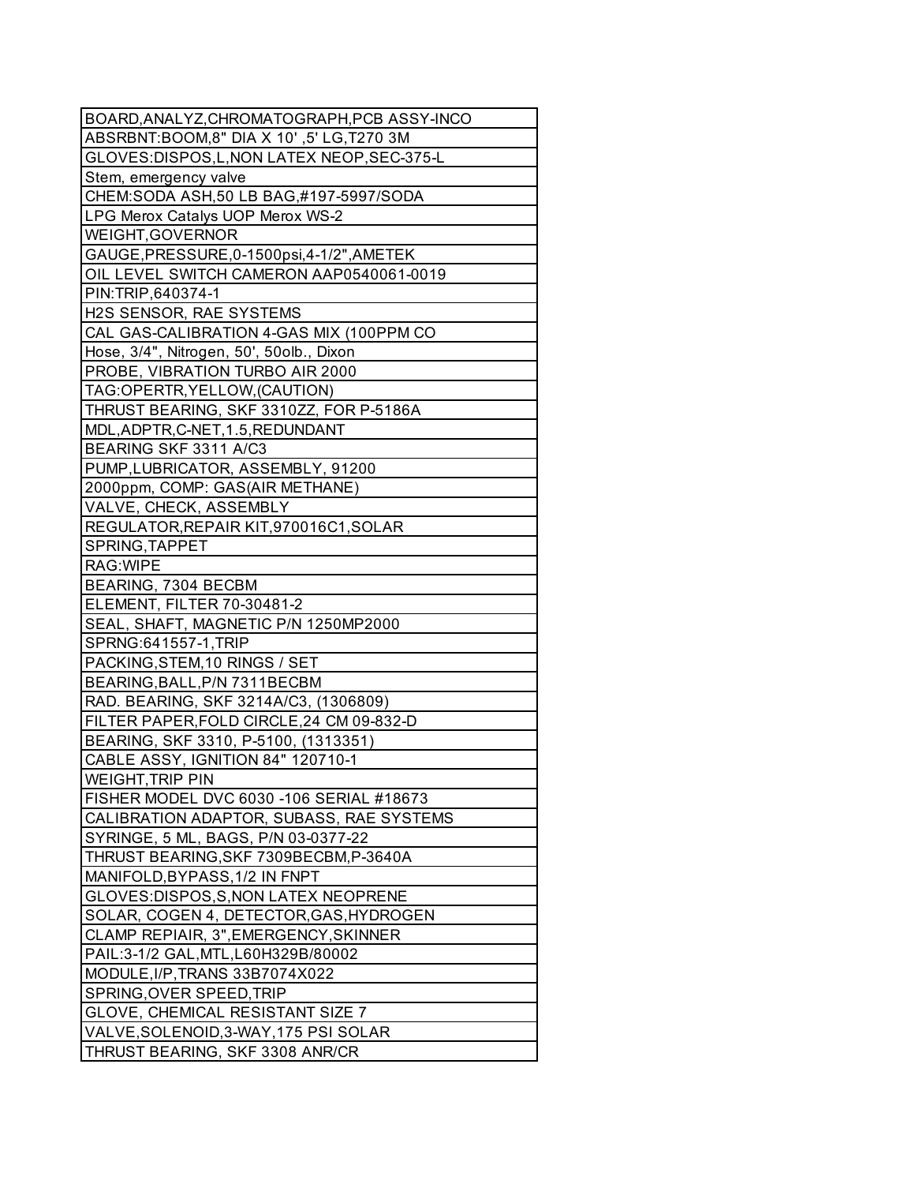| BOARD, ANALYZ, CHROMATOGRAPH, PCB ASSY-INCO |
|---------------------------------------------|
| ABSRBNT:BOOM,8" DIA X 10',5' LG, T270 3M    |
| GLOVES:DISPOS, L, NON LATEX NEOP, SEC-375-L |
| Stem, emergency valve                       |
| CHEM:SODA ASH,50 LB BAG,#197-5997/SODA      |
| LPG Merox Catalys UOP Merox WS-2            |
| WEIGHT, GOVERNOR                            |
| GAUGE, PRESSURE, 0-1500psi, 4-1/2", AMETEK  |
| OIL LEVEL SWITCH CAMERON AAP0540061-0019    |
| PIN:TRIP,640374-1                           |
|                                             |
| H2S SENSOR, RAE SYSTEMS                     |
| CAL GAS-CALIBRATION 4-GAS MIX (100PPM CO    |
| Hose, 3/4", Nitrogen, 50', 50olb., Dixon    |
| PROBE, VIBRATION TURBO AIR 2000             |
| TAG:OPERTR, YELLOW, (CAUTION)               |
| THRUST BEARING, SKF 3310ZZ, FOR P-5186A     |
| MDL, ADPTR, C-NET, 1.5, REDUNDANT           |
| BEARING SKF 3311 A/C3                       |
| PUMP, LUBRICATOR, ASSEMBLY, 91200           |
| 2000ppm, COMP: GAS(AIR METHANE)             |
| VALVE, CHECK, ASSEMBLY                      |
| REGULATOR, REPAIR KIT, 970016C1, SOLAR      |
| SPRING, TAPPET                              |
| RAG: WIPE                                   |
| BEARING, 7304 BECBM                         |
| ELEMENT, FILTER 70-30481-2                  |
| SEAL, SHAFT, MAGNETIC P/N 1250MP2000        |
| SPRNG:641557-1, TRIP                        |
| PACKING, STEM, 10 RINGS / SET               |
| BEARING, BALL, P/N 7311BECBM                |
| RAD. BEARING, SKF 3214A/C3, (1306809)       |
| FILTER PAPER, FOLD CIRCLE, 24 CM 09-832-D   |
| BEARING, SKF 3310, P-5100, (1313351)        |
| CABLE ASSY, IGNITION 84" 120710-1           |
| WEIGHT, TRIP PIN                            |
| FISHER MODEL DVC 6030 -106 SERIAL #18673    |
| CALIBRATION ADAPTOR, SUBASS, RAE SYSTEMS    |
| SYRINGE, 5 ML, BAGS, P/N 03-0377-22         |
| THRUST BEARING, SKF 7309BECBM, P-3640A      |
|                                             |
| MANIFOLD, BYPASS, 1/2 IN FNPT               |
| GLOVES: DISPOS, S, NON LATEX NEOPRENE       |
| SOLAR, COGEN 4, DETECTOR, GAS, HYDROGEN     |
| CLAMP REPIAIR, 3", EMERGENCY, SKINNER       |
| PAIL:3-1/2 GAL, MTL, L60H329B/80002         |
| MODULE, I/P, TRANS 33B7074X022              |
| SPRING, OVER SPEED, TRIP                    |
| GLOVE, CHEMICAL RESISTANT SIZE 7            |
| VALVE, SOLENOID, 3-WAY, 175 PSI SOLAR       |
| THRUST BEARING, SKF 3308 ANR/CR             |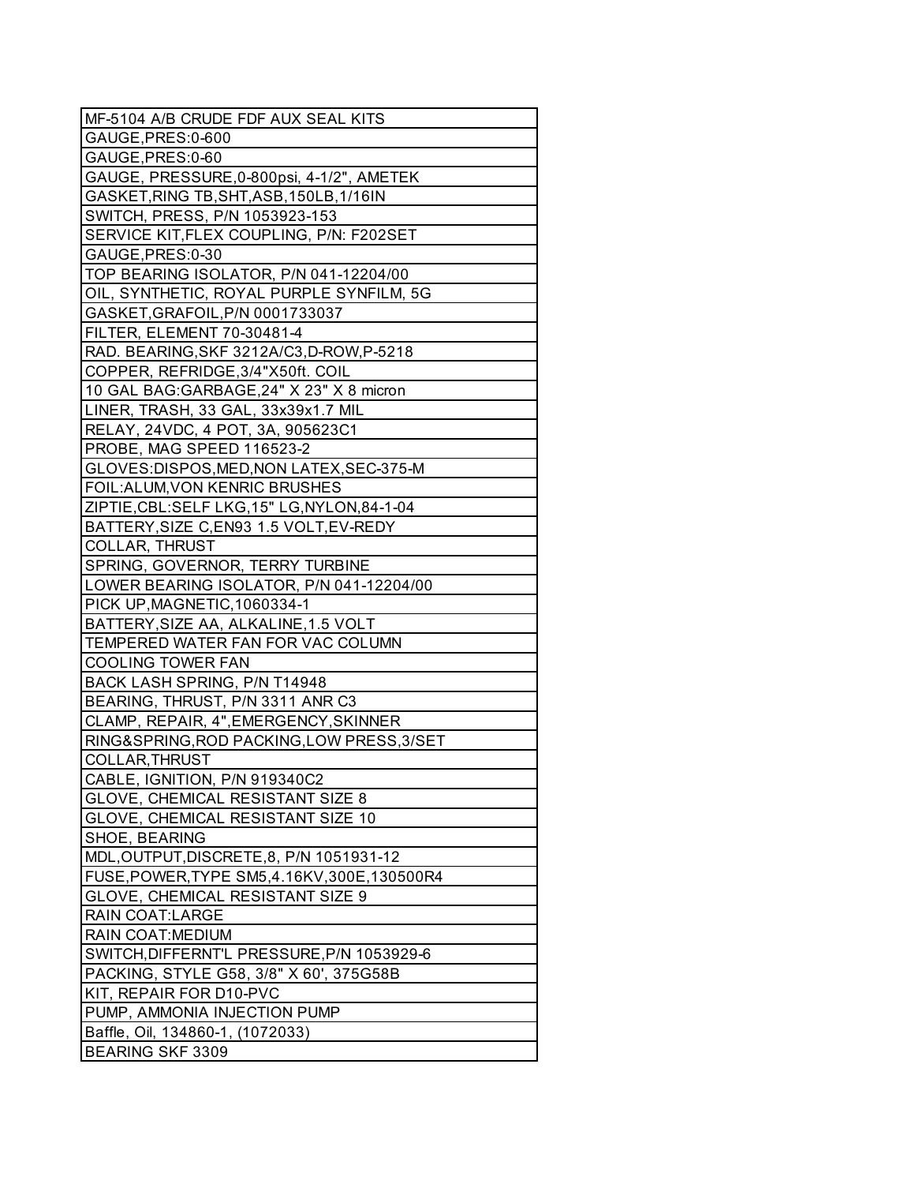| MF-5104 A/B CRUDE FDF AUX SEAL KITS           |
|-----------------------------------------------|
| GAUGE, PRES: 0-600                            |
| GAUGE, PRES: 0-60                             |
| GAUGE, PRESSURE, 0-800psi, 4-1/2", AMETEK     |
| GASKET, RING TB, SHT, ASB, 150LB, 1/16IN      |
| SWITCH, PRESS, P/N 1053923-153                |
| SERVICE KIT, FLEX COUPLING, P/N: F202SET      |
| GAUGE, PRES: 0-30                             |
| TOP BEARING ISOLATOR, P/N 041-12204/00        |
| OIL, SYNTHETIC, ROYAL PURPLE SYNFILM, 5G      |
| GASKET, GRAFOIL, P/N 0001733037               |
| FILTER, ELEMENT 70-30481-4                    |
| RAD. BEARING, SKF 3212A/C3, D-ROW, P-5218     |
| COPPER, REFRIDGE, 3/4"X50ft. COIL             |
| 10 GAL BAG:GARBAGE, 24" X 23" X 8 micron      |
| LINER, TRASH, 33 GAL, 33x39x1.7 MIL           |
| RELAY, 24VDC, 4 POT, 3A, 905623C1             |
| PROBE, MAG SPEED 116523-2                     |
| GLOVES: DISPOS, MED, NON LATEX, SEC-375-M     |
| FOIL: ALUM, VON KENRIC BRUSHES                |
| ZIPTIE, CBL: SELF LKG, 15" LG, NYLON, 84-1-04 |
| BATTERY, SIZE C, EN93 1.5 VOLT, EV-REDY       |
| <b>COLLAR, THRUST</b>                         |
| SPRING, GOVERNOR, TERRY TURBINE               |
| LOWER BEARING ISOLATOR, P/N 041-12204/00      |
| PICK UP, MAGNETIC, 1060334-1                  |
| BATTERY, SIZE AA, ALKALINE, 1.5 VOLT          |
| TEMPERED WATER FAN FOR VAC COLUMN             |
| <b>COOLING TOWER FAN</b>                      |
| BACK LASH SPRING, P/N T14948                  |
| BEARING, THRUST, P/N 3311 ANR C3              |
| CLAMP, REPAIR, 4", EMERGENCY, SKINNER         |
| RING&SPRING, ROD PACKING, LOW PRESS, 3/SET    |
| COLLAR, THRUST                                |
| CABLE, IGNITION, P/N 919340C2                 |
| GLOVE, CHEMICAL RESISTANT SIZE 8              |
| GLOVE, CHEMICAL RESISTANT SIZE 10             |
| <b>SHOE, BEARING</b>                          |
| MDL, OUTPUT, DISCRETE, 8, P/N 1051931-12      |
| FUSE, POWER, TYPE SM5, 4.16KV, 300E, 130500R4 |
| GLOVE, CHEMICAL RESISTANT SIZE 9              |
|                                               |
| <b>RAIN COAT:LARGE</b>                        |
| RAIN COAT: MEDIUM                             |
| SWITCH, DIFFERNT'L PRESSURE, P/N 1053929-6    |
| PACKING, STYLE G58, 3/8" X 60', 375G58B       |
| KIT, REPAIR FOR D10-PVC                       |
| PUMP, AMMONIA INJECTION PUMP                  |
| Baffle, Oil, 134860-1, (1072033)              |
| <b>BEARING SKF 3309</b>                       |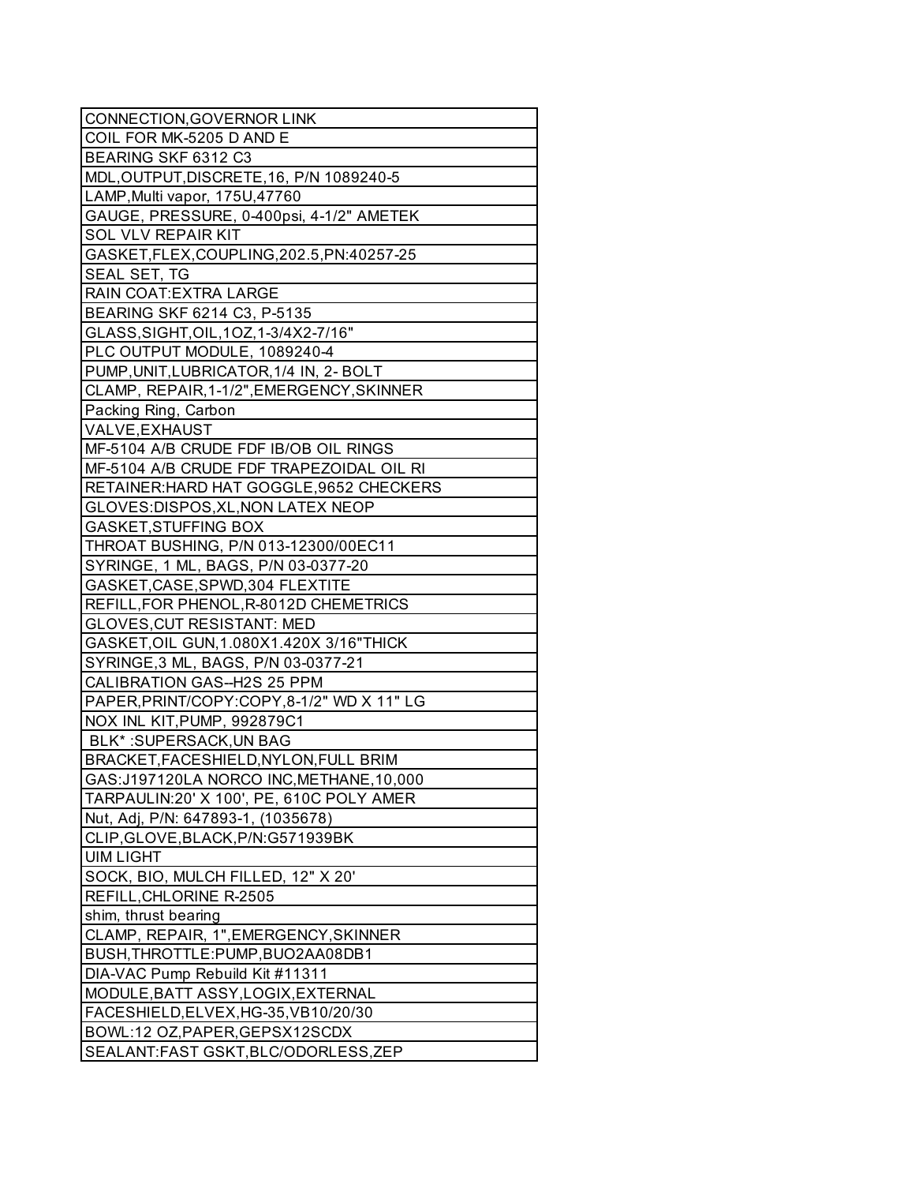| CONNECTION, GOVERNOR LINK                   |
|---------------------------------------------|
| COIL FOR MK-5205 D AND E                    |
| BEARING SKF 6312 C3                         |
| MDL, OUTPUT, DISCRETE, 16, P/N 1089240-5    |
| LAMP, Multi vapor, 175U, 47760              |
| GAUGE, PRESSURE, 0-400psi, 4-1/2" AMETEK    |
| <b>SOL VLV REPAIR KIT</b>                   |
| GASKET, FLEX, COUPLING, 202.5, PN: 40257-25 |
| SEAL SET, TG                                |
| RAIN COAT: EXTRA LARGE                      |
| BEARING SKF 6214 C3, P-5135                 |
| GLASS, SIGHT, OIL, 10Z, 1-3/4X2-7/16"       |
| PLC OUTPUT MODULE, 1089240-4                |
| PUMP, UNIT, LUBRICATOR, 1/4 IN, 2- BOLT     |
| CLAMP, REPAIR, 1-1/2", EMERGENCY, SKINNER   |
| Packing Ring, Carbon                        |
| VALVE, EXHAUST                              |
| MF-5104 A/B CRUDE FDF IB/OB OIL RINGS       |
| MF-5104 A/B CRUDE FDF TRAPEZOIDAL OIL RI    |
| RETAINER: HARD HAT GOGGLE, 9652 CHECKERS    |
| GLOVES: DISPOS, XL, NON LATEX NEOP          |
| <b>GASKET, STUFFING BOX</b>                 |
| THROAT BUSHING, P/N 013-12300/00EC11        |
| SYRINGE, 1 ML, BAGS, P/N 03-0377-20         |
| GASKET, CASE, SPWD, 304 FLEXTITE            |
| REFILL, FOR PHENOL, R-8012D CHEMETRICS      |
| <b>GLOVES, CUT RESISTANT: MED</b>           |
| GASKET, OIL GUN, 1.080X1.420X 3/16"THICK    |
| SYRINGE, 3 ML, BAGS, P/N 03-0377-21         |
|                                             |
| CALIBRATION GAS--H2S 25 PPM                 |
| PAPER, PRINT/COPY: COPY, 8-1/2" WD X 11" LG |
| NOX INL KIT, PUMP, 992879C1                 |
| BLK*: SUPERSACK, UN BAG                     |
| BRACKET, FACESHIELD, NYLON, FULL BRIM       |
| GAS:J197120LA NORCO INC, METHANE, 10,000    |
| TARPAULIN:20' X 100', PE, 610C POLY AMER    |
| Nut, Adj, P/N: 647893-1, (1035678)          |
| CLIP, GLOVE, BLACK, P/N: G571939BK          |
| <b>UIM LIGHT</b>                            |
| SOCK, BIO, MULCH FILLED, 12" X 20"          |
| REFILL, CHLORINE R-2505                     |
| shim, thrust bearing                        |
| CLAMP, REPAIR, 1", EMERGENCY, SKINNER       |
| BUSH, THROTTLE: PUMP, BUO2AA08DB1           |
| DIA-VAC Pump Rebuild Kit #11311             |
| MODULE, BATT ASSY, LOGIX, EXTERNAL          |
| FACESHIELD, ELVEX, HG-35, VB10/20/30        |
| BOWL:12 OZ, PAPER, GEPSX12SCDX              |
| SEALANT:FAST GSKT, BLC/ODORLESS, ZEP        |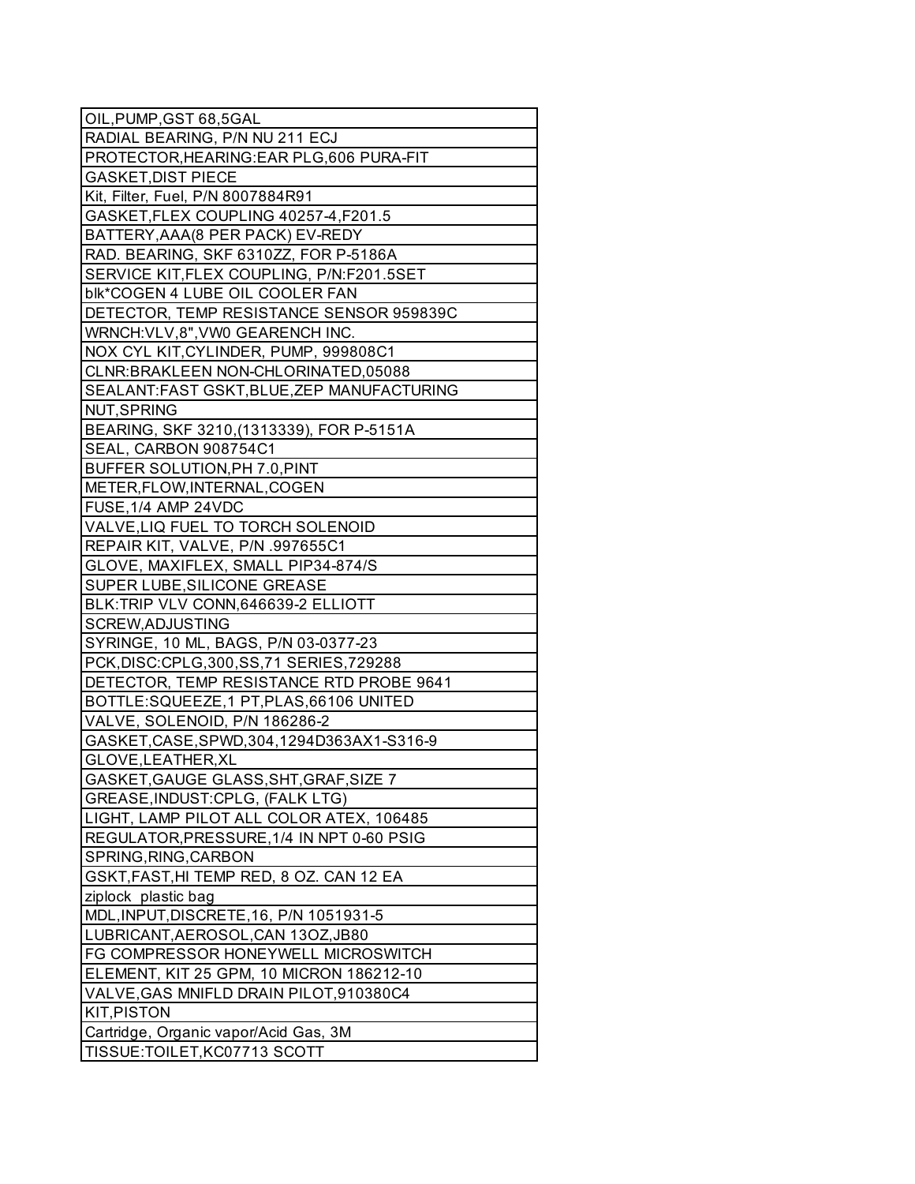| OIL, PUMP, GST 68, 5GAL                     |
|---------------------------------------------|
| RADIAL BEARING, P/N NU 211 ECJ              |
| PROTECTOR, HEARING: EAR PLG, 606 PURA-FIT   |
| <b>GASKET, DIST PIECE</b>                   |
| Kit, Filter, Fuel, P/N 8007884R91           |
| GASKET, FLEX COUPLING 40257-4, F201.5       |
| BATTERY, AAA (8 PER PACK) EV-REDY           |
| RAD. BEARING, SKF 6310ZZ, FOR P-5186A       |
| SERVICE KIT, FLEX COUPLING, P/N: F201.5SET  |
| blk*COGEN 4 LUBE OIL COOLER FAN             |
| DETECTOR, TEMP RESISTANCE SENSOR 959839C    |
| WRNCH: VLV, 8", VW0 GEARENCH INC.           |
| NOX CYL KIT, CYLINDER, PUMP, 999808C1       |
| CLNR: BRAKLEEN NON-CHLORINATED, 05088       |
| SEALANT:FAST GSKT, BLUE, ZEP MANUFACTURING  |
| NUT, SPRING                                 |
| BEARING, SKF 3210, (1313339), FOR P-5151A   |
| SEAL, CARBON 908754C1                       |
| BUFFER SOLUTION, PH 7.0, PINT               |
| METER, FLOW, INTERNAL, COGEN                |
| FUSE, 1/4 AMP 24VDC                         |
| VALVE, LIQ FUEL TO TORCH SOLENOID           |
| REPAIR KIT, VALVE, P/N .997655C1            |
| GLOVE, MAXIFLEX, SMALL PIP34-874/S          |
| SUPER LUBE, SILICONE GREASE                 |
| BLK:TRIP VLV CONN, 646639-2 ELLIOTT         |
| SCREW, ADJUSTING                            |
| SYRINGE, 10 ML, BAGS, P/N 03-0377-23        |
| PCK, DISC: CPLG, 300, SS, 71 SERIES, 729288 |
| DETECTOR, TEMP RESISTANCE RTD PROBE 9641    |
| BOTTLE:SQUEEZE, 1 PT, PLAS, 66106 UNITED    |
| VALVE, SOLENOID, P/N 186286-2               |
| GASKET, CASE, SPWD, 304, 1294D363AX1-S316-9 |
| GLOVE, LEATHER, XL                          |
| GASKET, GAUGE GLASS, SHT, GRAF, SIZE 7      |
| GREASE, INDUST: CPLG, (FALK LTG)            |
| LIGHT, LAMP PILOT ALL COLOR ATEX, 106485    |
| REGULATOR, PRESSURE, 1/4 IN NPT 0-60 PSIG   |
| SPRING, RING, CARBON                        |
| GSKT, FAST, HI TEMP RED, 8 OZ. CAN 12 EA    |
| ziplock plastic bag                         |
| MDL, INPUT, DISCRETE, 16, P/N 1051931-5     |
| LUBRICANT, AEROSOL, CAN 130Z, JB80          |
| FG COMPRESSOR HONEYWELL MICROSWITCH         |
| ELEMENT, KIT 25 GPM, 10 MICRON 186212-10    |
| VALVE, GAS MNIFLD DRAIN PILOT, 910380C4     |
| KIT, PISTON                                 |
| Cartridge, Organic vapor/Acid Gas, 3M       |
| TISSUE: TOILET, KC07713 SCOTT               |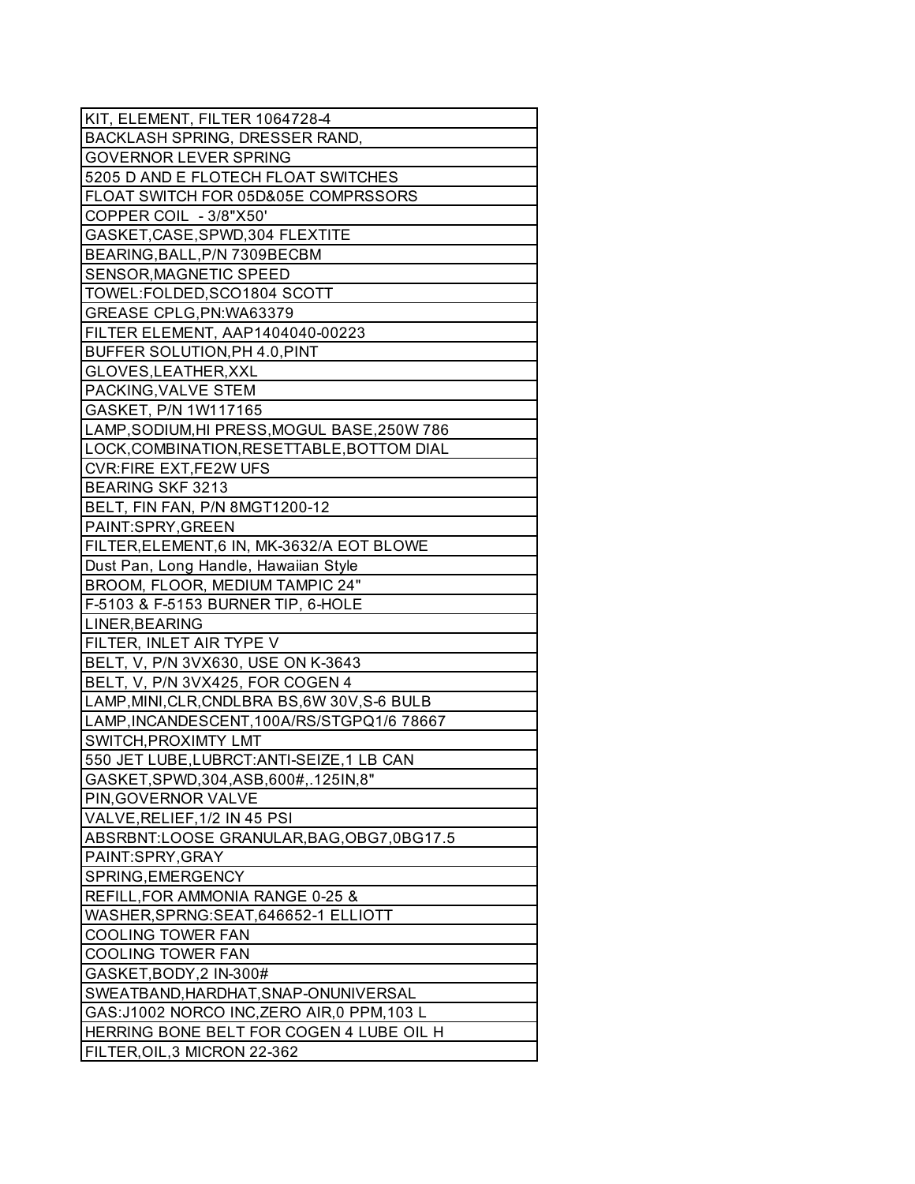| KIT, ELEMENT, FILTER 1064728-4                                    |
|-------------------------------------------------------------------|
| BACKLASH SPRING, DRESSER RAND,                                    |
| <b>GOVERNOR LEVER SPRING</b>                                      |
| 5205 D AND E FLOTECH FLOAT SWITCHES                               |
| FLOAT SWITCH FOR 05D&05E COMPRSSORS                               |
| COPPER COIL - 3/8"X50"                                            |
| GASKET, CASE, SPWD, 304 FLEXTITE                                  |
| BEARING, BALL, P/N 7309BECBM                                      |
| SENSOR, MAGNETIC SPEED                                            |
| TOWEL:FOLDED, SCO1804 SCOTT                                       |
| GREASE CPLG, PN: WA63379                                          |
| FILTER ELEMENT, AAP1404040-00223                                  |
| BUFFER SOLUTION, PH 4.0, PINT                                     |
| GLOVES, LEATHER, XXL                                              |
| PACKING, VALVE STEM                                               |
| GASKET, P/N 1W117165                                              |
| LAMP, SODIUM, HI PRESS, MOGUL BASE, 250W 786                      |
| LOCK, COMBINATION, RESETTABLE, BOTTOM DIAL                        |
| <b>CVR:FIRE EXT,FE2W UFS</b>                                      |
| <b>BEARING SKF 3213</b>                                           |
| BELT, FIN FAN, P/N 8MGT1200-12                                    |
| PAINT:SPRY, GREEN                                                 |
| FILTER, ELEMENT, 6 IN, MK-3632/A EOT BLOWE                        |
| Dust Pan, Long Handle, Hawaiian Style                             |
| BROOM, FLOOR, MEDIUM TAMPIC 24"                                   |
| F-5103 & F-5153 BURNER TIP, 6-HOLE                                |
| LINER, BEARING                                                    |
| FILTER, INLET AIR TYPE V                                          |
| BELT, V, P/N 3VX630, USE ON K-3643                                |
| BELT, V, P/N 3VX425, FOR COGEN 4                                  |
| LAMP, MINI, CLR, CNDLBRA BS, 6W 30V, S-6 BULB                     |
| LAMP, INCANDESCENT, 100A/RS/STGPQ1/6 78667                        |
| SWITCH, PROXIMTY LMT                                              |
| 550 JET LUBE, LUBRCT: ANTI-SEIZE, 1 LB CAN                        |
| GASKET, SPWD, 304, ASB, 600#, .125IN, 8"                          |
| PIN, GOVERNOR VALVE                                               |
| VALVE, RELIEF, 1/2 IN 45 PSI                                      |
| ABSRBNT:LOOSE GRANULAR, BAG, OBG7, 0BG17.5                        |
| PAINT:SPRY, GRAY                                                  |
| SPRING, EMERGENCY                                                 |
| REFILL, FOR AMMONIA RANGE 0-25 &                                  |
|                                                                   |
| WASHER, SPRNG: SEAT, 646652-1 ELLIOTT<br><b>COOLING TOWER FAN</b> |
|                                                                   |
| <b>COOLING TOWER FAN</b>                                          |
| GASKET, BODY, 2 IN-300#                                           |
| SWEATBAND, HARDHAT, SNAP-ONUNIVERSAL                              |
| GAS:J1002 NORCO INC, ZERO AIR, 0 PPM, 103 L                       |
| HERRING BONE BELT FOR COGEN 4 LUBE OIL H                          |
| FILTER, OIL, 3 MICRON 22-362                                      |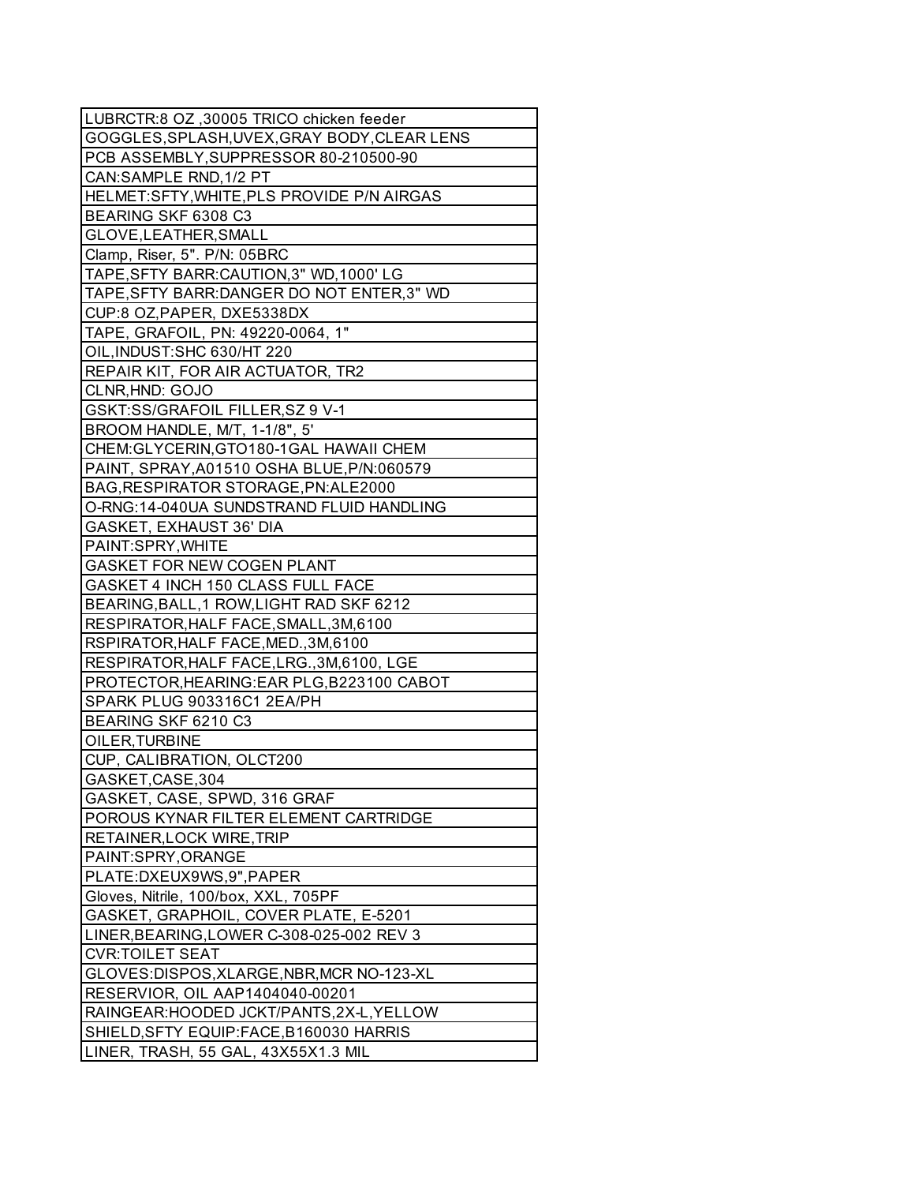| LUBRCTR:8 OZ ,30005 TRICO chicken feeder                           |
|--------------------------------------------------------------------|
| GOGGLES, SPLASH, UVEX, GRAY BODY, CLEAR LENS                       |
| PCB ASSEMBLY, SUPPRESSOR 80-210500-90                              |
| CAN:SAMPLE RND, 1/2 PT                                             |
| HELMET:SFTY, WHITE, PLS PROVIDE P/N AIRGAS                         |
| BEARING SKF 6308 C3                                                |
| GLOVE, LEATHER, SMALL                                              |
| Clamp, Riser, 5". P/N: 05BRC                                       |
| TAPE, SFTY BARR: CAUTION, 3" WD, 1000' LG                          |
| TAPE, SFTY BARR: DANGER DO NOT ENTER, 3" WD                        |
| CUP:8 OZ, PAPER, DXE5338DX                                         |
| TAPE, GRAFOIL, PN: 49220-0064, 1"                                  |
| OIL, INDUST: SHC 630/HT 220                                        |
| REPAIR KIT, FOR AIR ACTUATOR, TR2                                  |
| CLNR, HND: GOJO                                                    |
| GSKT:SS/GRAFOIL FILLER, SZ 9 V-1                                   |
| BROOM HANDLE, M/T, 1-1/8", 5'                                      |
| CHEM: GLYCERIN, GTO180-1GAL HAWAII CHEM                            |
| PAINT, SPRAY, A01510 OSHA BLUE, P/N:060579                         |
| BAG, RESPIRATOR STORAGE, PN: ALE2000                               |
| O-RNG:14-040UA SUNDSTRAND FLUID HANDLING                           |
| <b>GASKET, EXHAUST 36' DIA</b>                                     |
| PAINT:SPRY, WHITE                                                  |
| GASKET FOR NEW COGEN PLANT                                         |
| GASKET 4 INCH 150 CLASS FULL FACE                                  |
| BEARING, BALL, 1 ROW, LIGHT RAD SKF 6212                           |
| RESPIRATOR, HALF FACE, SMALL, 3M, 6100                             |
| RSPIRATOR, HALF FACE, MED., 3M, 6100                               |
| RESPIRATOR, HALF FACE, LRG., 3M, 6100, LGE                         |
| PROTECTOR, HEARING: EAR PLG, B223100 CABOT                         |
| SPARK PLUG 903316C1 2EA/PH                                         |
| BEARING SKF 6210 C3                                                |
| OILER, TURBINE                                                     |
| CUP, CALIBRATION, OLCT200                                          |
| GASKET, CASE, 304                                                  |
|                                                                    |
| GASKET, CASE, SPWD, 316 GRAF                                       |
| POROUS KYNAR FILTER ELEMENT CARTRIDGE<br>RETAINER, LOCK WIRE, TRIP |
|                                                                    |
| PAINT:SPRY, ORANGE                                                 |
| PLATE:DXEUX9WS,9", PAPER                                           |
| Gloves, Nitrile, 100/box, XXL, 705PF                               |
| GASKET, GRAPHOIL, COVER PLATE, E-5201                              |
| LINER, BEARING, LOWER C-308-025-002 REV 3                          |
| <b>CVR:TOILET SEAT</b>                                             |
| GLOVES:DISPOS, XLARGE, NBR, MCR NO-123-XL                          |
| RESERVIOR, OIL AAP1404040-00201                                    |
| RAINGEAR: HOODED JCKT/PANTS, 2X-L, YELLOW                          |
| SHIELD, SFTY EQUIP: FACE, B160030 HARRIS                           |
| LINER, TRASH, 55 GAL, 43X55X1.3 MIL                                |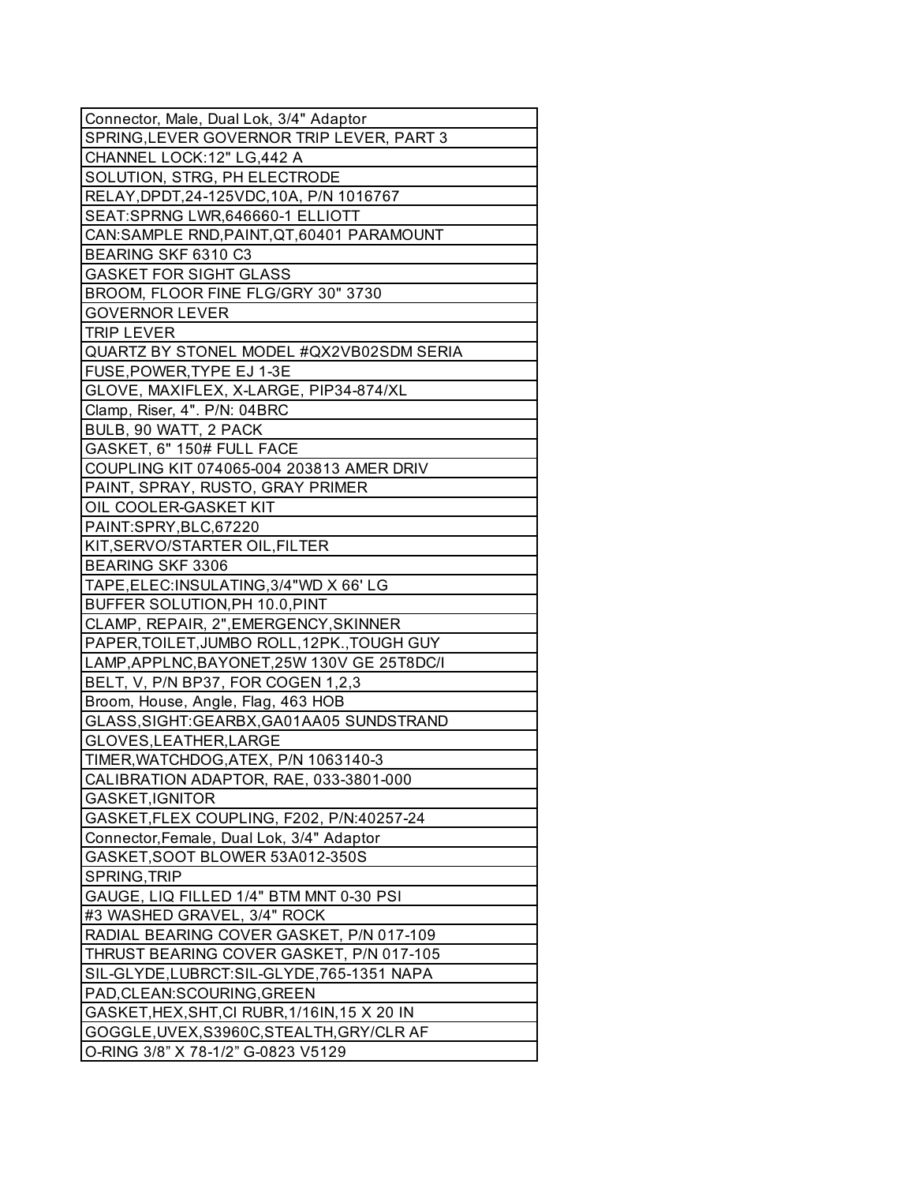| Connector, Male, Dual Lok, 3/4" Adaptor       |
|-----------------------------------------------|
| SPRING, LEVER GOVERNOR TRIP LEVER, PART 3     |
| CHANNEL LOCK:12" LG,442 A                     |
| SOLUTION, STRG, PH ELECTRODE                  |
| RELAY, DPDT, 24-125VDC, 10A, P/N 1016767      |
| SEAT:SPRNG LWR,646660-1 ELLIOTT               |
| CAN:SAMPLE RND, PAINT, QT, 60401 PARAMOUNT    |
| BEARING SKF 6310 C3                           |
| <b>GASKET FOR SIGHT GLASS</b>                 |
| BROOM, FLOOR FINE FLG/GRY 30" 3730            |
| <b>GOVERNOR LEVER</b>                         |
| <b>TRIP LEVER</b>                             |
| QUARTZ BY STONEL MODEL #QX2VB02SDM SERIA      |
| FUSE, POWER, TYPE EJ 1-3E                     |
| GLOVE, MAXIFLEX, X-LARGE, PIP34-874/XL        |
| Clamp, Riser, 4". P/N: 04BRC                  |
| BULB, 90 WATT, 2 PACK                         |
| GASKET, 6" 150# FULL FACE                     |
| COUPLING KIT 074065-004 203813 AMER DRIV      |
| PAINT, SPRAY, RUSTO, GRAY PRIMER              |
| OIL COOLER-GASKET KIT                         |
| PAINT:SPRY, BLC, 67220                        |
| KIT, SERVO/STARTER OIL, FILTER                |
| <b>BEARING SKF 3306</b>                       |
| TAPE, ELEC: INSULATING, 3/4"WD X 66' LG       |
| BUFFER SOLUTION, PH 10.0, PINT                |
| CLAMP, REPAIR, 2", EMERGENCY, SKINNER         |
|                                               |
| PAPER, TOILET, JUMBO ROLL, 12PK., TOUGH GUY   |
| LAMP, APPLNC, BAYONET, 25W 130V GE 25T8DC/I   |
| BELT, V, P/N BP37, FOR COGEN 1,2,3            |
| Broom, House, Angle, Flag, 463 HOB            |
| GLASS, SIGHT: GEARBX, GA01AA05 SUNDSTRAND     |
| GLOVES, LEATHER, LARGE                        |
| TIMER, WATCHDOG, ATEX, P/N 1063140-3          |
| CALIBRATION ADAPTOR, RAE, 033-3801-000        |
| GASKET, IGNITOR                               |
| GASKET, FLEX COUPLING, F202, P/N:40257-24     |
| Connector, Female, Dual Lok, 3/4" Adaptor     |
| GASKET, SOOT BLOWER 53A012-350S               |
| SPRING, TRIP                                  |
| GAUGE, LIQ FILLED 1/4" BTM MNT 0-30 PSI       |
| #3 WASHED GRAVEL, 3/4" ROCK                   |
| RADIAL BEARING COVER GASKET, P/N 017-109      |
| THRUST BEARING COVER GASKET, P/N 017-105      |
| SIL-GLYDE, LUBRCT: SIL-GLYDE, 765-1351 NAPA   |
| PAD, CLEAN: SCOURING, GREEN                   |
| GASKET, HEX, SHT, CI RUBR, 1/16IN, 15 X 20 IN |
| GOGGLE, UVEX, S3960C, STEALTH, GRY/CLR AF     |
| O-RING 3/8" X 78-1/2" G-0823 V5129            |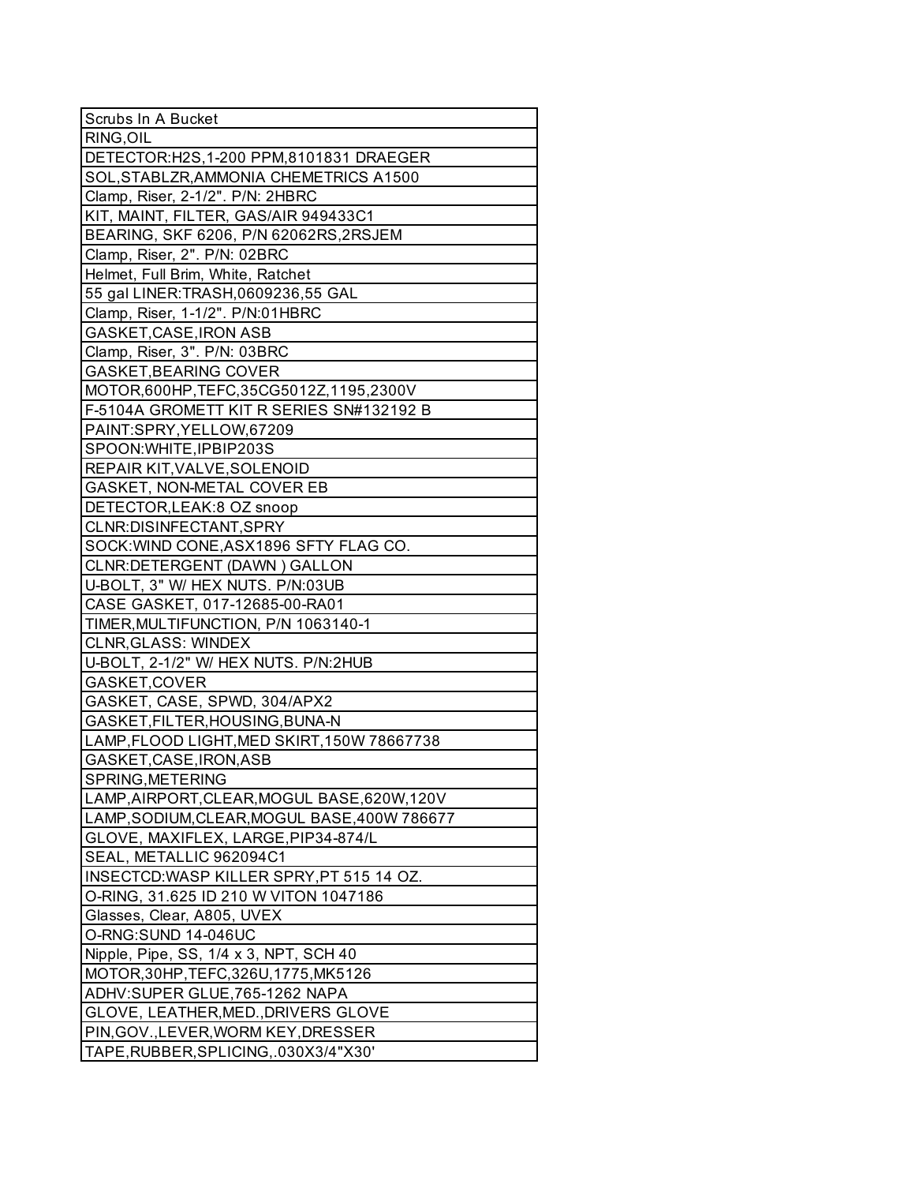| Scrubs In A Bucket                           |
|----------------------------------------------|
| RING, OIL                                    |
| DETECTOR: H2S, 1-200 PPM, 8101831 DRAEGER    |
| SOL, STABLZR, AMMONIA CHEMETRICS A1500       |
| Clamp, Riser, 2-1/2". P/N: 2HBRC             |
| KIT, MAINT, FILTER, GAS/AIR 949433C1         |
| BEARING, SKF 6206, P/N 62062RS, 2RSJEM       |
| Clamp, Riser, 2". P/N: 02BRC                 |
| Helmet, Full Brim, White, Ratchet            |
| 55 gal LINER: TRASH, 0609236, 55 GAL         |
| Clamp, Riser, 1-1/2". P/N:01HBRC             |
| GASKET, CASE, IRON ASB                       |
| Clamp, Riser, 3". P/N: 03BRC                 |
| <b>GASKET, BEARING COVER</b>                 |
| MOTOR,600HP,TEFC,35CG5012Z,1195,2300V        |
| F-5104A GROMETT KIT R SERIES SN#132192 B     |
| PAINT:SPRY, YELLOW, 67209                    |
| SPOON: WHITE, IPBIP203S                      |
| REPAIR KIT, VALVE, SOLENOID                  |
| <b>GASKET, NON-METAL COVER EB</b>            |
| DETECTOR, LEAK: 8 OZ snoop                   |
| CLNR:DISINFECTANT,SPRY                       |
| SOCK: WIND CONE, ASX1896 SFTY FLAG CO.       |
| CLNR:DETERGENT (DAWN) GALLON                 |
| U-BOLT, 3" W/ HEX NUTS. P/N:03UB             |
| CASE GASKET, 017-12685-00-RA01               |
| TIMER, MULTIFUNCTION, P/N 1063140-1          |
| <b>CLNR, GLASS: WINDEX</b>                   |
| U-BOLT, 2-1/2" W/ HEX NUTS. P/N:2HUB         |
| GASKET, COVER                                |
| GASKET, CASE, SPWD, 304/APX2                 |
| GASKET, FILTER, HOUSING, BUNA-N              |
| LAMP, FLOOD LIGHT, MED SKIRT, 150W 78667738  |
| GASKET, CASE, IRON, ASB                      |
| SPRING, METERING                             |
| LAMP, AIRPORT, CLEAR, MOGUL BASE, 620W, 120V |
| LAMP, SODIUM, CLEAR, MOGUL BASE, 400W 786677 |
| GLOVE, MAXIFLEX, LARGE, PIP34-874/L          |
| SEAL, METALLIC 962094C1                      |
| INSECTCD: WASP KILLER SPRY, PT 515 14 OZ.    |
| O-RING, 31.625 ID 210 W VITON 1047186        |
| Glasses, Clear, A805, UVEX                   |
| O-RNG:SUND 14-046UC                          |
| Nipple, Pipe, SS, 1/4 x 3, NPT, SCH 40       |
| MOTOR, 30HP, TEFC, 326U, 1775, MK5126        |
| ADHV:SUPER GLUE, 765-1262 NAPA               |
| GLOVE, LEATHER, MED., DRIVERS GLOVE          |
| PIN, GOV., LEVER, WORM KEY, DRESSER          |
| TAPE, RUBBER, SPLICING, .030X3/4"X30"        |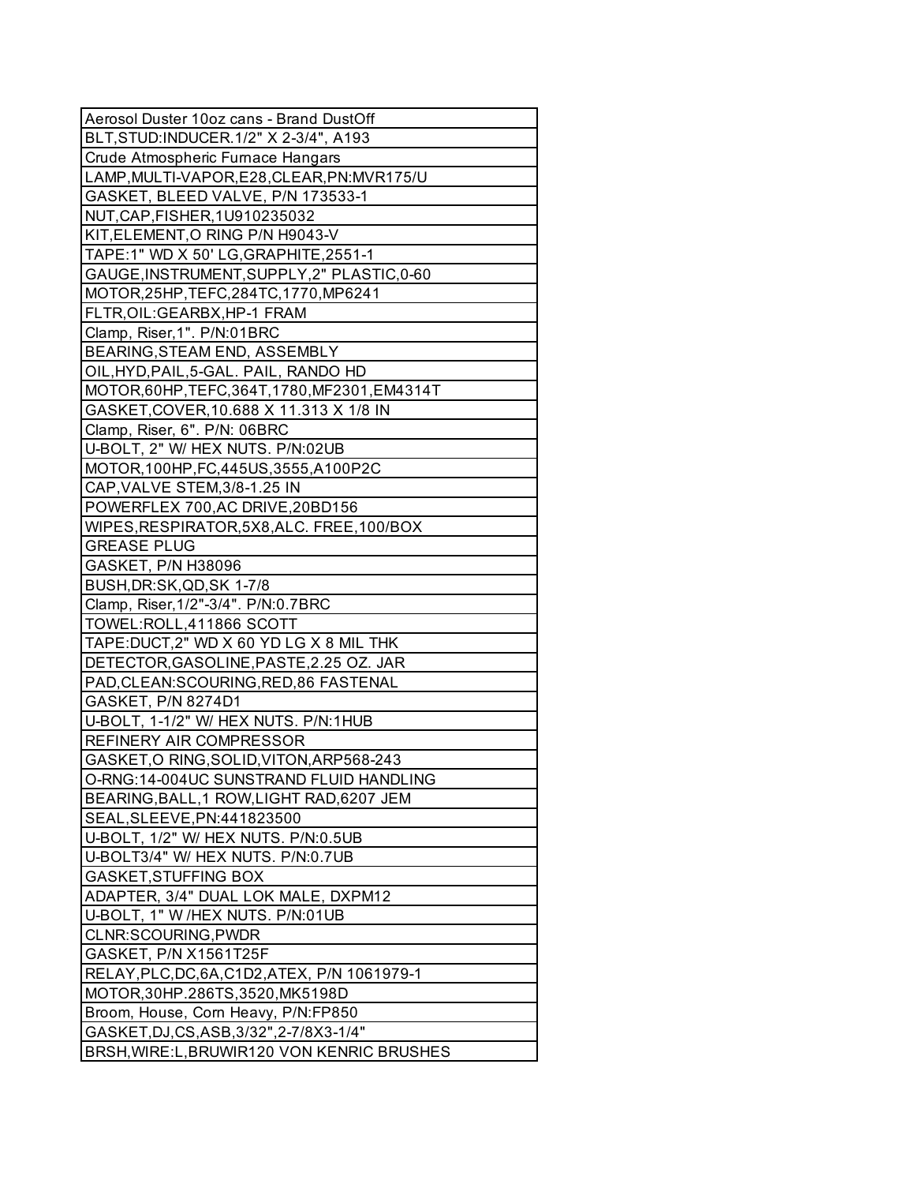| Aerosol Duster 10oz cans - Brand DustOff       |
|------------------------------------------------|
| BLT, STUD: INDUCER. 1/2" X 2-3/4", A193        |
| Crude Atmospheric Furnace Hangars              |
| LAMP, MULTI-VAPOR, E28, CLEAR, PN: MVR175/U    |
| GASKET, BLEED VALVE, P/N 173533-1              |
| NUT, CAP, FISHER, 1U910235032                  |
| KIT, ELEMENT, O RING P/N H9043-V               |
| TAPE:1" WD X 50' LG, GRAPHITE, 2551-1          |
| GAUGE, INSTRUMENT, SUPPLY, 2" PLASTIC, 0-60    |
| MOTOR, 25HP, TEFC, 284TC, 1770, MP6241         |
| FLTR, OIL: GEARBX, HP-1 FRAM                   |
| Clamp, Riser, 1". P/N:01BRC                    |
| BEARING, STEAM END, ASSEMBLY                   |
| OIL, HYD, PAIL, 5-GAL. PAIL, RANDO HD          |
| MOTOR, 60HP, TEFC, 364T, 1780, MF2301, EM4314T |
| GASKET, COVER, 10.688 X 11.313 X 1/8 IN        |
| Clamp, Riser, 6". P/N: 06BRC                   |
| U-BOLT, 2" W/ HEX NUTS. P/N:02UB               |
| MOTOR, 100HP, FC, 445US, 3555, A100P2C         |
| CAP, VALVE STEM, 3/8-1.25 IN                   |
| POWERFLEX 700, AC DRIVE, 20BD156               |
| WIPES, RESPIRATOR, 5X8, ALC. FREE, 100/BOX     |
| <b>GREASE PLUG</b>                             |
| GASKET, P/N H38096                             |
| BUSH, DR: SK, QD, SK 1-7/8                     |
| Clamp, Riser, 1/2"-3/4". P/N:0.7BRC            |
| TOWEL:ROLL,411866 SCOTT                        |
| TAPE: DUCT, 2" WD X 60 YD LG X 8 MIL THK       |
| DETECTOR, GASOLINE, PASTE, 2.25 OZ. JAR        |
| PAD, CLEAN: SCOURING, RED, 86 FASTENAL         |
| GASKET, P/N 8274D1                             |
| U-BOLT, 1-1/2" W/ HEX NUTS. P/N:1HUB           |
| REFINERY AIR COMPRESSOR                        |
| GASKET, O RING, SOLID, VITON, ARP568-243       |
| O-RNG:14-004UC SUNSTRAND FLUID HANDLING        |
| BEARING, BALL, 1 ROW, LIGHT RAD, 6207 JEM      |
| SEAL, SLEEVE, PN: 441823500                    |
| U-BOLT, 1/2" W/ HEX NUTS. P/N:0.5UB            |
| U-BOLT3/4" W/ HEX NUTS. P/N:0.7UB              |
| <b>GASKET, STUFFING BOX</b>                    |
| ADAPTER, 3/4" DUAL LOK MALE, DXPM12            |
| U-BOLT, 1" W /HEX NUTS. P/N:01UB               |
| CLNR:SCOURING, PWDR                            |
| GASKET, P/N X1561T25F                          |
| RELAY, PLC, DC, 6A, C1D2, ATEX, P/N 1061979-1  |
| MOTOR, 30HP. 286TS, 3520, MK5198D              |
| Broom, House, Corn Heavy, P/N:FP850            |
| GASKET, DJ, CS, ASB, 3/32", 2-7/8X3-1/4"       |
| BRSH, WIRE: L, BRUWIR120 VON KENRIC BRUSHES    |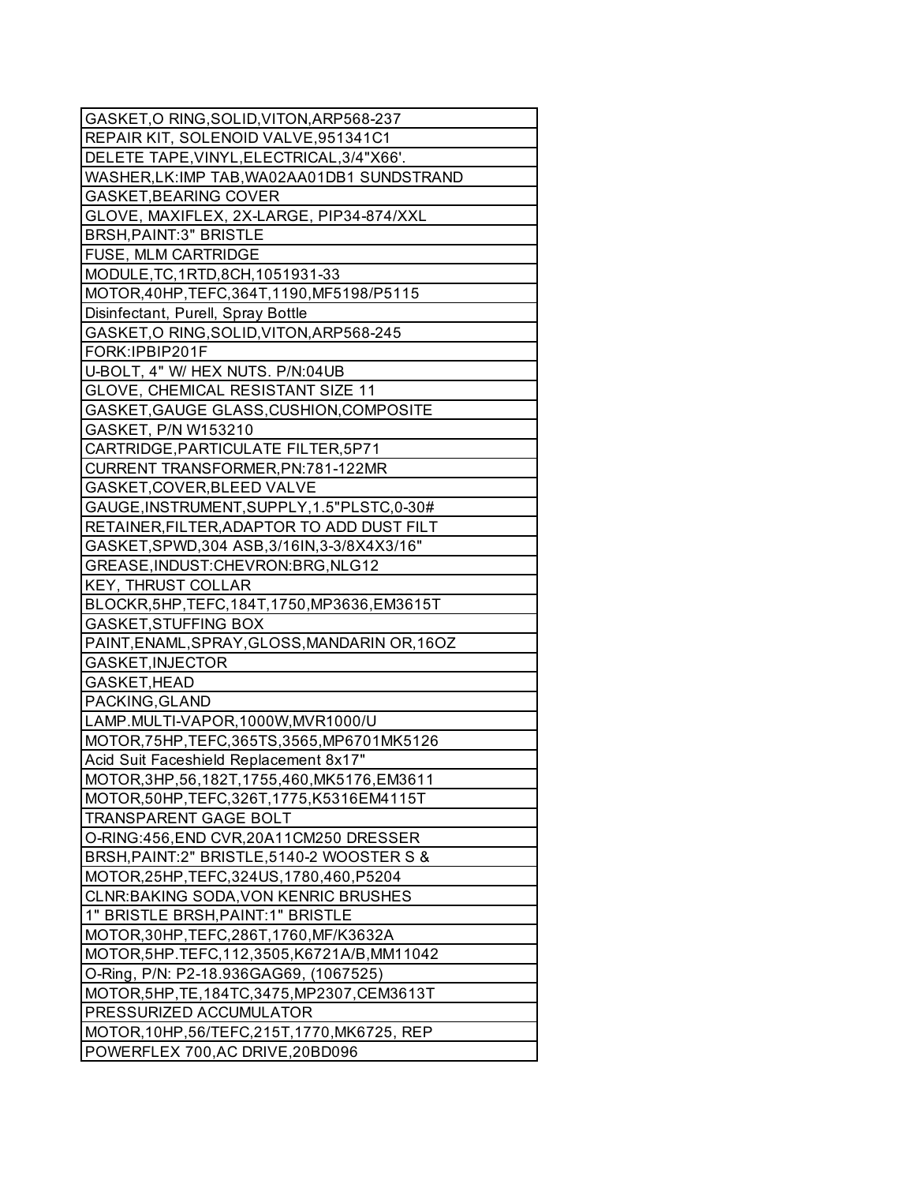| GASKET, O RING, SOLID, VITON, ARP568-237        |
|-------------------------------------------------|
| REPAIR KIT, SOLENOID VALVE, 951341C1            |
| DELETE TAPE, VINYL, ELECTRICAL, 3/4"X66'.       |
| WASHER, LK: IMP TAB, WA02AA01DB1 SUNDSTRAND     |
| <b>GASKET, BEARING COVER</b>                    |
| GLOVE, MAXIFLEX, 2X-LARGE, PIP34-874/XXL        |
| <b>BRSH, PAINT: 3" BRISTLE</b>                  |
| <b>FUSE, MLM CARTRIDGE</b>                      |
| MODULE, TC, 1RTD, 8CH, 1051931-33               |
| MOTOR, 40HP, TEFC, 364T, 1190, MF5198/P5115     |
| Disinfectant, Purell, Spray Bottle              |
| GASKET, O RING, SOLID, VITON, ARP568-245        |
| FORK: IPBIP201F                                 |
| U-BOLT, 4" W/ HEX NUTS. P/N:04UB                |
| GLOVE, CHEMICAL RESISTANT SIZE 11               |
| GASKET, GAUGE GLASS, CUSHION, COMPOSITE         |
| GASKET, P/N W153210                             |
| CARTRIDGE, PARTICULATE FILTER, 5P71             |
| CURRENT TRANSFORMER, PN: 781-122MR              |
| GASKET, COVER, BLEED VALVE                      |
| GAUGE, INSTRUMENT, SUPPLY, 1.5"PLSTC, 0-30#     |
| RETAINER, FILTER, ADAPTOR TO ADD DUST FILT      |
| GASKET, SPWD, 304 ASB, 3/16IN, 3-3/8X4X3/16"    |
| GREASE, INDUST: CHEVRON: BRG, NLG12             |
| <b>KEY, THRUST COLLAR</b>                       |
| BLOCKR, 5HP, TEFC, 184T, 1750, MP3636, EM3615T  |
| <b>GASKET, STUFFING BOX</b>                     |
| PAINT, ENAML, SPRAY, GLOSS, MANDARIN OR, 16OZ   |
| GASKET, INJECTOR                                |
| GASKET, HEAD                                    |
| PACKING, GLAND                                  |
| LAMP.MULTI-VAPOR,1000W,MVR1000/U                |
| MOTOR, 75HP, TEFC, 365TS, 3565, MP6701MK5126    |
| Acid Suit Faceshield Replacement 8x17"          |
| MOTOR, 3HP, 56, 182T, 1755, 460, MK5176, EM3611 |
| MOTOR, 50HP, TEFC, 326T, 1775, K5316EM4115T     |
| TRANSPARENT GAGE BOLT                           |
| O-RING:456, END CVR, 20A11CM250 DRESSER         |
| BRSH, PAINT: 2" BRISTLE, 5140-2 WOOSTER S &     |
| MOTOR, 25HP, TEFC, 324US, 1780, 460, P5204      |
| CLNR: BAKING SODA, VON KENRIC BRUSHES           |
| 1" BRISTLE BRSH, PAINT: 1" BRISTLE              |
| MOTOR, 30HP, TEFC, 286T, 1760, MF/K3632A        |
| MOTOR, 5HP. TEFC, 112, 3505, K6721A/B, MM11042  |
| O-Ring, P/N: P2-18.936GAG69, (1067525)          |
| MOTOR, 5HP, TE, 184TC, 3475, MP2307, CEM3613T   |
| PRESSURIZED ACCUMULATOR                         |
| MOTOR, 10HP, 56/TEFC, 215T, 1770, MK6725, REP   |
| POWERFLEX 700, AC DRIVE, 20BD096                |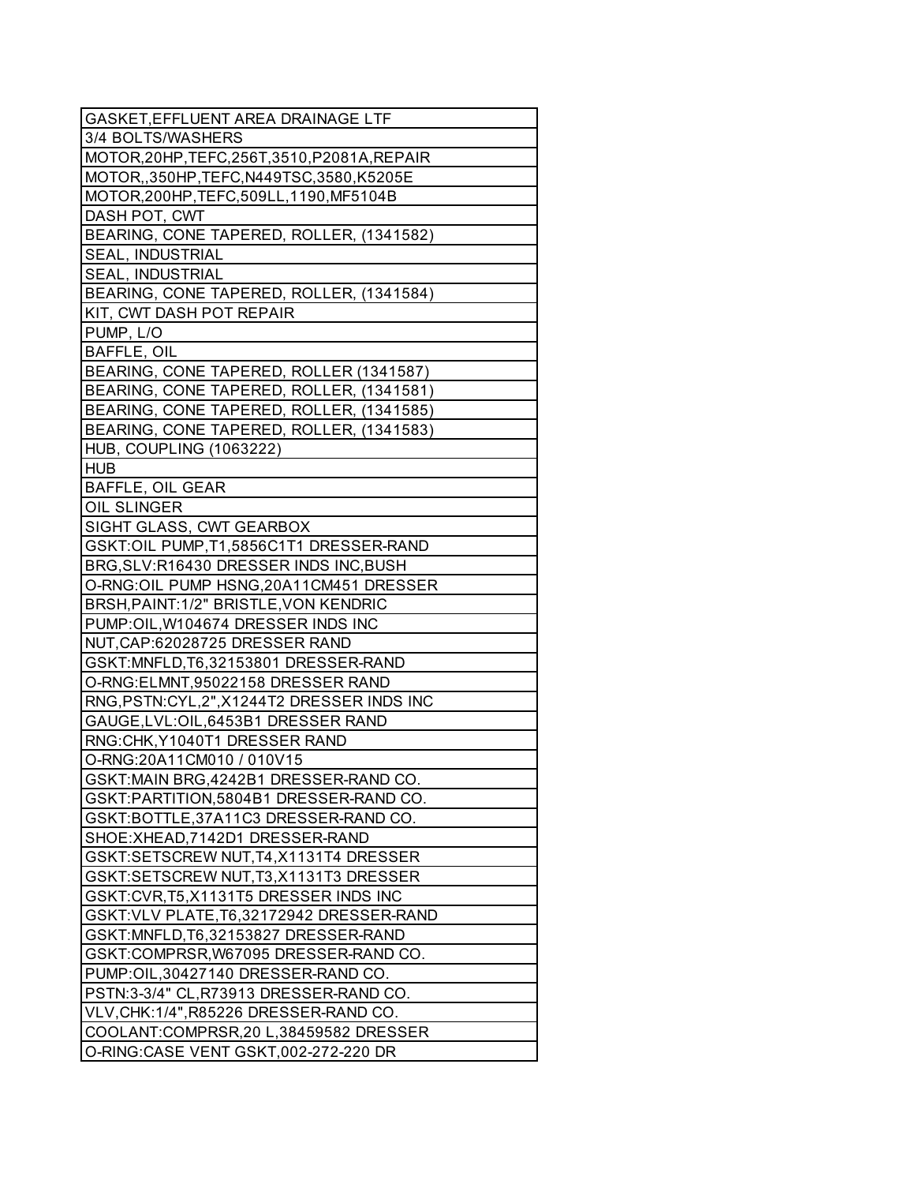| <b>GASKET, EFFLUENT AREA DRAINAGE LTF</b>     |
|-----------------------------------------------|
| 3/4 BOLTS/WASHERS                             |
| MOTOR, 20HP, TEFC, 256T, 3510, P2081A, REPAIR |
| MOTOR,,350HP,TEFC,N449TSC,3580,K5205E         |
| MOTOR, 200HP, TEFC, 509LL, 1190, MF5104B      |
| DASH POT, CWT                                 |
| BEARING, CONE TAPERED, ROLLER, (1341582)      |
| <b>SEAL, INDUSTRIAL</b>                       |
| <b>SEAL, INDUSTRIAL</b>                       |
| BEARING, CONE TAPERED, ROLLER, (1341584)      |
| KIT, CWT DASH POT REPAIR                      |
| PUMP, L/O                                     |
| BAFFLE, OIL                                   |
| BEARING, CONE TAPERED, ROLLER (1341587)       |
| BEARING, CONE TAPERED, ROLLER, (1341581)      |
| BEARING, CONE TAPERED, ROLLER, (1341585)      |
| BEARING, CONE TAPERED, ROLLER, (1341583)      |
| HUB, COUPLING (1063222)                       |
| <b>HUB</b>                                    |
| <b>BAFFLE, OIL GEAR</b>                       |
| <b>OIL SLINGER</b>                            |
| SIGHT GLASS, CWT GEARBOX                      |
| GSKT:OIL PUMP, T1, 5856C1T1 DRESSER-RAND      |
| BRG, SLV: R16430 DRESSER INDS INC, BUSH       |
| O-RNG:OIL PUMP HSNG,20A11CM451 DRESSER        |
| BRSH, PAINT: 1/2" BRISTLE, VON KENDRIC        |
| PUMP: OIL, W104674 DRESSER INDS INC           |
| NUT, CAP: 62028725 DRESSER RAND               |
| GSKT:MNFLD, T6, 32153801 DRESSER-RAND         |
| O-RNG:ELMNT,95022158 DRESSER RAND             |
| RNG,PSTN:CYL,2",X1244T2 DRESSER INDS INC      |
| GAUGE, LVL: OIL, 6453B1 DRESSER RAND          |
| RNG:CHK, Y1040T1 DRESSER RAND                 |
| O-RNG:20A11CM010 / 010V15                     |
| GSKT:MAIN BRG, 4242B1 DRESSER-RAND CO.        |
| GSKT:PARTITION,5804B1 DRESSER-RAND CO.        |
| GSKT:BOTTLE,37A11C3 DRESSER-RAND CO.          |
| SHOE: XHEAD, 7142D1 DRESSER-RAND              |
| GSKT:SETSCREW NUT, T4, X1131T4 DRESSER        |
| GSKT:SETSCREW NUT, T3, X1131T3 DRESSER        |
| GSKT:CVR, T5, X1131T5 DRESSER INDS INC        |
| GSKT: VLV PLATE, T6, 32172942 DRESSER-RAND    |
| GSKT:MNFLD,T6,32153827 DRESSER-RAND           |
| GSKT:COMPRSR, W67095 DRESSER-RAND CO.         |
| PUMP:OIL,30427140 DRESSER-RAND CO.            |
| PSTN:3-3/4" CL, R73913 DRESSER-RAND CO.       |
| VLV, CHK: 1/4", R85226 DRESSER-RAND CO.       |
| COOLANT:COMPRSR, 20 L, 38459582 DRESSER       |
| O-RING:CASE VENT GSKT,002-272-220 DR          |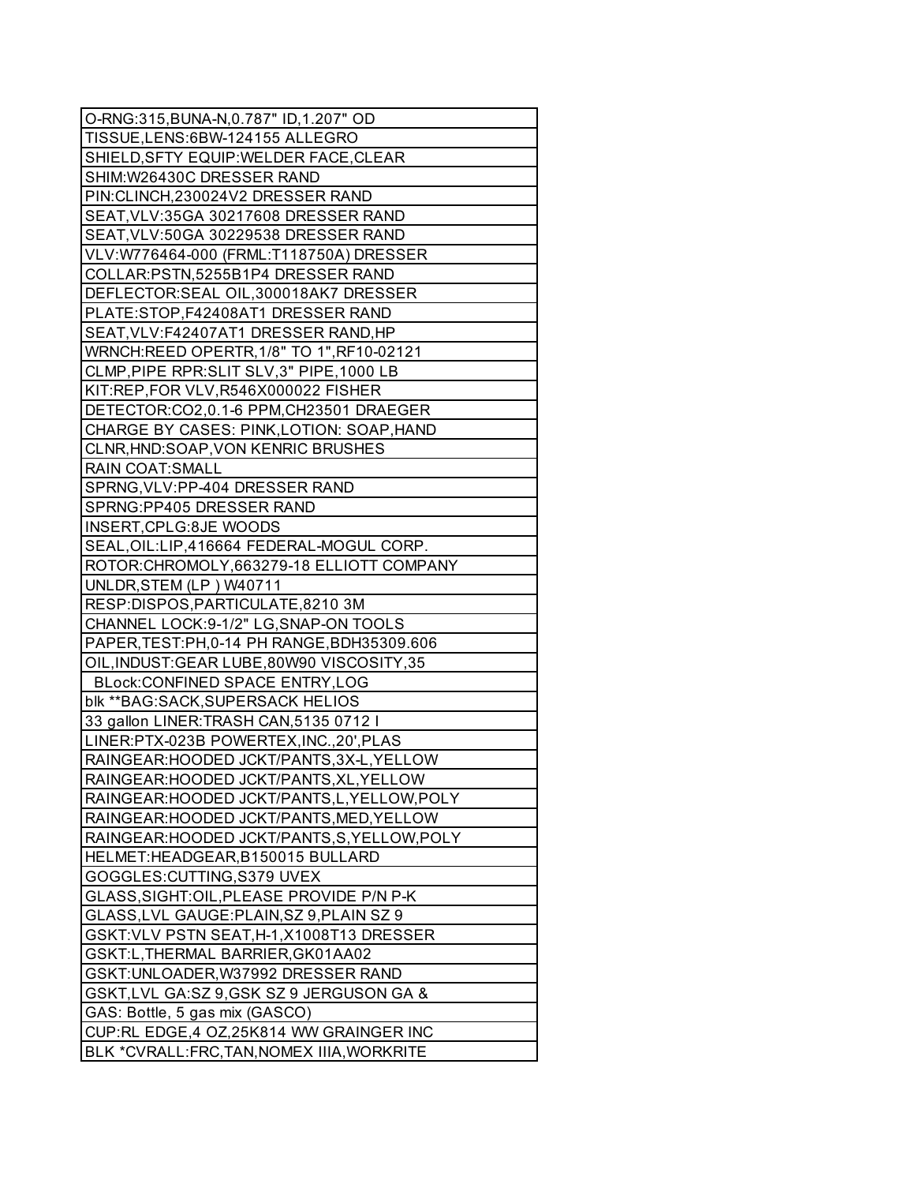| O-RNG:315, BUNA-N, 0.787" ID, 1.207" OD      |
|----------------------------------------------|
| TISSUE, LENS: 6BW-124155 ALLEGRO             |
| SHIELD, SFTY EQUIP: WELDER FACE, CLEAR       |
| SHIM: W26430C DRESSER RAND                   |
| PIN:CLINCH,230024V2 DRESSER RAND             |
| SEAT, VLV: 35GA 30217608 DRESSER RAND        |
| SEAT, VLV:50GA 30229538 DRESSER RAND         |
| VLV:W776464-000 (FRML:T118750A) DRESSER      |
| COLLAR:PSTN,5255B1P4 DRESSER RAND            |
| DEFLECTOR:SEAL OIL,300018AK7 DRESSER         |
| PLATE:STOP,F42408AT1 DRESSER RAND            |
| SEAT, VLV: F42407AT1 DRESSER RAND, HP        |
| WRNCH:REED OPERTR, 1/8" TO 1", RF10-02121    |
| CLMP, PIPE RPR: SLIT SLV, 3" PIPE, 1000 LB   |
| KIT:REP,FOR VLV,R546X000022 FISHER           |
| DETECTOR:CO2,0.1-6 PPM,CH23501 DRAEGER       |
| CHARGE BY CASES: PINK, LOTION: SOAP, HAND    |
| CLNR, HND: SOAP, VON KENRIC BRUSHES          |
| RAIN COAT:SMALL                              |
| SPRNG, VLV: PP-404 DRESSER RAND              |
| SPRNG:PP405 DRESSER RAND                     |
| INSERT, CPLG: 8JE WOODS                      |
| SEAL, OIL: LIP, 416664 FEDERAL-MOGUL CORP.   |
| ROTOR: CHROMOLY, 663279-18 ELLIOTT COMPANY   |
| UNLDR, STEM (LP) W40711                      |
| RESP:DISPOS, PARTICULATE, 8210 3M            |
| CHANNEL LOCK:9-1/2" LG, SNAP-ON TOOLS        |
| PAPER, TEST: PH, 0-14 PH RANGE, BDH35309.606 |
| OIL, INDUST: GEAR LUBE, 80W90 VISCOSITY, 35  |
| BLock:CONFINED SPACE ENTRY,LOG               |
| blk ** BAG: SACK, SUPERSACK HELIOS           |
| 33 gallon LINER: TRASH CAN, 5135 0712 I      |
| LINER:PTX-023B POWERTEX, INC., 20', PLAS     |
| RAINGEAR: HOODED JCKT/PANTS, 3X-L, YELLOW    |
| RAINGEAR: HOODED JCKT/PANTS, XL, YELLOW      |
| RAINGEAR: HOODED JCKT/PANTS, L, YELLOW, POLY |
| RAINGEAR: HOODED JCKT/PANTS, MED, YELLOW     |
| RAINGEAR: HOODED JCKT/PANTS, S, YELLOW, POLY |
| HELMET:HEADGEAR, B150015 BULLARD             |
| GOGGLES: CUTTING, S379 UVEX                  |
| GLASS, SIGHT: OIL, PLEASE PROVIDE P/N P-K    |
| GLASS, LVL GAUGE: PLAIN, SZ 9, PLAIN SZ 9    |
| GSKT: VLV PSTN SEAT, H-1, X1008T13 DRESSER   |
| GSKT:L, THERMAL BARRIER, GK01AA02            |
| GSKT: UNLOADER, W37992 DRESSER RAND          |
| GSKT, LVL GA:SZ 9, GSK SZ 9 JERGUSON GA &    |
| GAS: Bottle, 5 gas mix (GASCO)               |
| CUP:RL EDGE, 4 OZ, 25K814 WW GRAINGER INC    |
|                                              |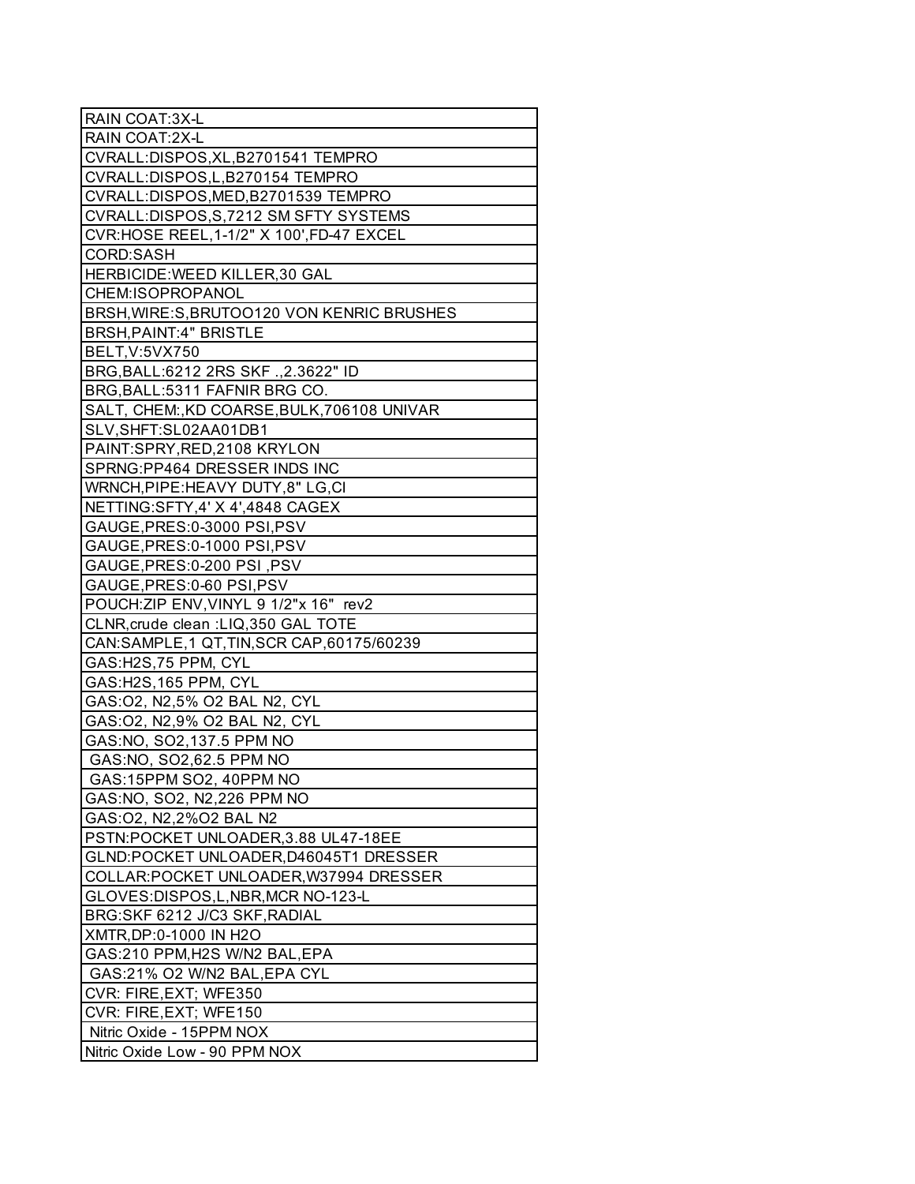| RAIN COAT:3X-L                              |
|---------------------------------------------|
| RAIN COAT:2X-L                              |
| CVRALL:DISPOS, XL, B2701541 TEMPRO          |
| CVRALL:DISPOS, L, B270154 TEMPRO            |
| CVRALL:DISPOS, MED, B2701539 TEMPRO         |
| CVRALL:DISPOS, S, 7212 SM SFTY SYSTEMS      |
| CVR:HOSE REEL, 1-1/2" X 100', FD-47 EXCEL   |
| <b>CORD:SASH</b>                            |
| HERBICIDE: WEED KILLER, 30 GAL              |
| CHEM:ISOPROPANOL                            |
| BRSH, WIRE: S, BRUTOO120 VON KENRIC BRUSHES |
| <b>BRSH, PAINT: 4" BRISTLE</b>              |
| BELT, V:5VX750                              |
| BRG, BALL: 6212 2RS SKF ., 2.3622" ID       |
| BRG, BALL: 5311 FAFNIR BRG CO.              |
| SALT, CHEM: KD COARSE, BULK, 706108 UNIVAR  |
| SLV, SHFT: SL02AA01DB1                      |
| PAINT:SPRY, RED, 2108 KRYLON                |
| SPRNG:PP464 DRESSER INDS INC                |
| WRNCH, PIPE: HEAVY DUTY, 8" LG, CI          |
| NETTING:SFTY,4' X 4',4848 CAGEX             |
| GAUGE, PRES: 0-3000 PSI, PSV                |
| GAUGE, PRES: 0-1000 PSI, PSV                |
| GAUGE, PRES: 0-200 PSI, PSV                 |
| GAUGE, PRES: 0-60 PSI, PSV                  |
| POUCH: ZIP ENV, VINYL 9 1/2"x 16" rev2      |
| CLNR, crude clean : LIQ, 350 GAL TOTE       |
| CAN:SAMPLE, 1 QT, TIN, SCR CAP, 60175/60239 |
| GAS:H2S,75 PPM, CYL                         |
| GAS: H2S, 165 PPM, CYL                      |
| GAS:02, N2,5% O2 BAL N2, CYL                |
| GAS: 02, N2, 9% O2 BAL N2, CYL              |
| GAS:NO, SO2,137.5 PPM NO                    |
| GAS:NO, SO2,62.5 PPM NO                     |
| GAS:15PPM SO2, 40PPM NO                     |
| GAS:NO, SO2, N2,226 PPM NO                  |
| GAS:02, N2,2%02 BAL N2                      |
| PSTN:POCKET UNLOADER, 3.88 UL47-18EE        |
| GLND:POCKET UNLOADER,D46045T1 DRESSER       |
| COLLAR: POCKET UNLOADER, W37994 DRESSER     |
| GLOVES: DISPOS, L, NBR, MCR NO-123-L        |
| BRG:SKF 6212 J/C3 SKF, RADIAL               |
| XMTR, DP: 0-1000 IN H2O                     |
| GAS:210 PPM, H2S W/N2 BAL, EPA              |
| GAS:21% O2 W/N2 BAL,EPA CYL                 |
| CVR: FIRE, EXT; WFE350                      |
| CVR: FIRE, EXT; WFE150                      |
| Nitric Oxide - 15PPM NOX                    |
| Nitric Oxide Low - 90 PPM NOX               |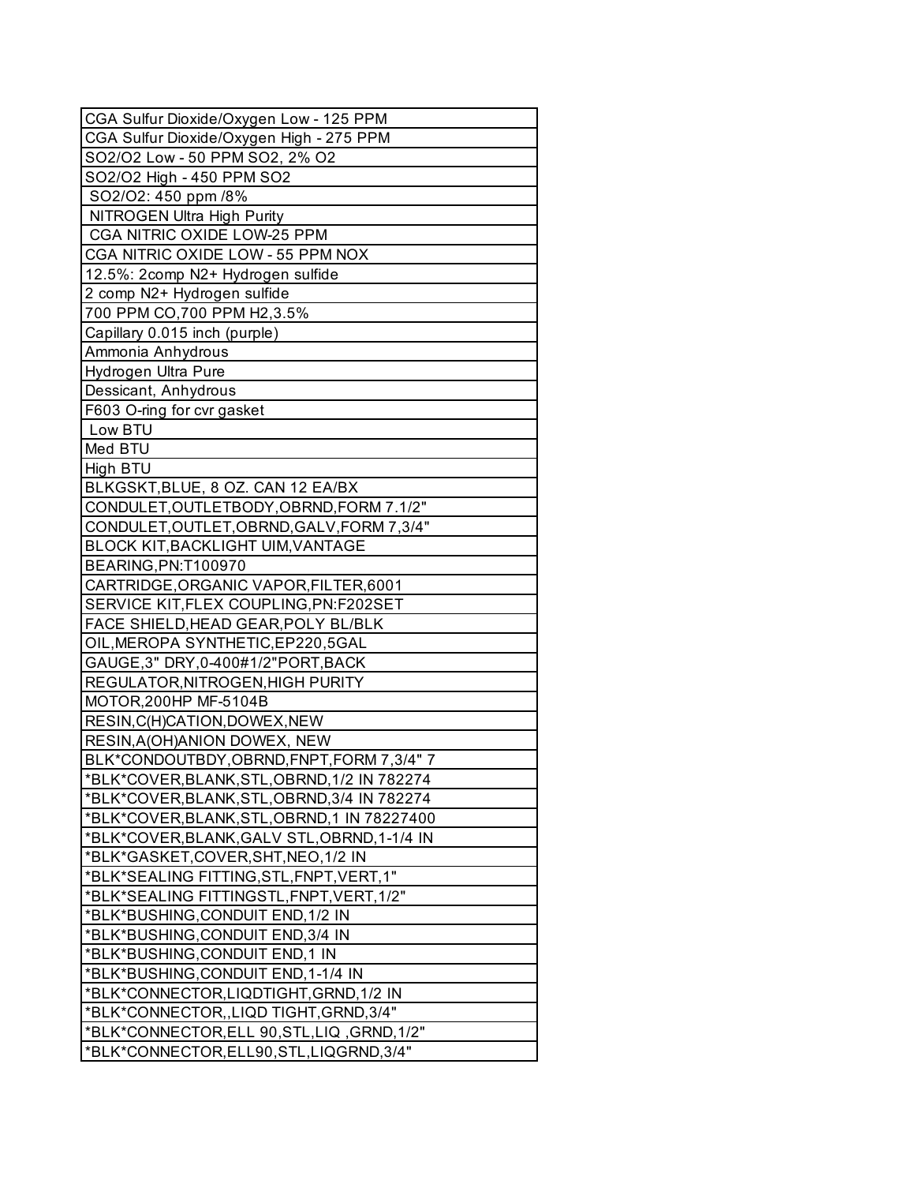| CGA Sulfur Dioxide/Oxygen Low - 125 PPM      |
|----------------------------------------------|
| CGA Sulfur Dioxide/Oxygen High - 275 PPM     |
| SO2/O2 Low - 50 PPM SO2, 2% O2               |
| SO2/O2 High - 450 PPM SO2                    |
| SO2/O2: 450 ppm /8%                          |
| NITROGEN Ultra High Purity                   |
| CGA NITRIC OXIDE LOW-25 PPM                  |
| CGA NITRIC OXIDE LOW - 55 PPM NOX            |
| 12.5%: 2comp N2+ Hydrogen sulfide            |
| 2 comp N2+ Hydrogen sulfide                  |
| 700 PPM CO, 700 PPM H2, 3.5%                 |
| Capillary 0.015 inch (purple)                |
| Ammonia Anhydrous                            |
| Hydrogen Ultra Pure                          |
| Dessicant, Anhydrous                         |
| F603 O-ring for cvr gasket                   |
| Low BTU                                      |
| Med BTU                                      |
| High BTU                                     |
| BLKGSKT, BLUE, 8 OZ. CAN 12 EA/BX            |
| CONDULET, OUTLETBODY, OBRND, FORM 7.1/2"     |
| CONDULET, OUTLET, OBRND, GALV, FORM 7, 3/4"  |
| BLOCK KIT, BACKLIGHT UIM, VANTAGE            |
| BEARING, PN: T100970                         |
| CARTRIDGE, ORGANIC VAPOR, FILTER, 6001       |
| SERVICE KIT, FLEX COUPLING, PN: F202SET      |
| <b>FACE SHIELD, HEAD GEAR, POLY BL/BLK</b>   |
| OIL, MEROPA SYNTHETIC, EP220, 5GAL           |
| GAUGE, 3" DRY, 0-400#1/2" PORT, BACK         |
| REGULATOR, NITROGEN, HIGH PURITY             |
| MOTOR, 200HP MF-5104B                        |
| RESIN, C(H)CATION, DOWEX, NEW                |
| <b>RESIN, A (OH) ANION DOWEX, NEW</b>        |
| BLK*CONDOUTBDY, OBRND, FNPT, FORM 7, 3/4" 7  |
| *BLK*COVER, BLANK, STL, OBRND, 1/2 IN 782274 |
| *BLK*COVER, BLANK, STL, OBRND, 3/4 IN 782274 |
| *BLK*COVER, BLANK, STL, OBRND, 1 IN 78227400 |
| *BLK*COVER, BLANK, GALV STL, OBRND, 1-1/4 IN |
| *BLK*GASKET,COVER,SHT,NEO,1/2 IN             |
| *BLK*SEALING FITTING, STL, FNPT, VERT, 1"    |
| *BLK*SEALING FITTINGSTL, FNPT, VERT, 1/2"    |
| *BLK*BUSHING, CONDUIT END, 1/2 IN            |
| *BLK*BUSHING, CONDUIT END, 3/4 IN            |
| *BLK*BUSHING,CONDUIT END,1 IN                |
| *BLK*BUSHING, CONDUIT END, 1-1/4 IN          |
| *BLK*CONNECTOR,LIQDTIGHT,GRND,1/2 IN         |
| *BLK*CONNECTOR,,LIQD TIGHT,GRND,3/4"         |
| *BLK*CONNECTOR,ELL 90,STL,LIQ,GRND,1/2"      |
| *BLK*CONNECTOR,ELL90,STL,LIQGRND,3/4"        |
|                                              |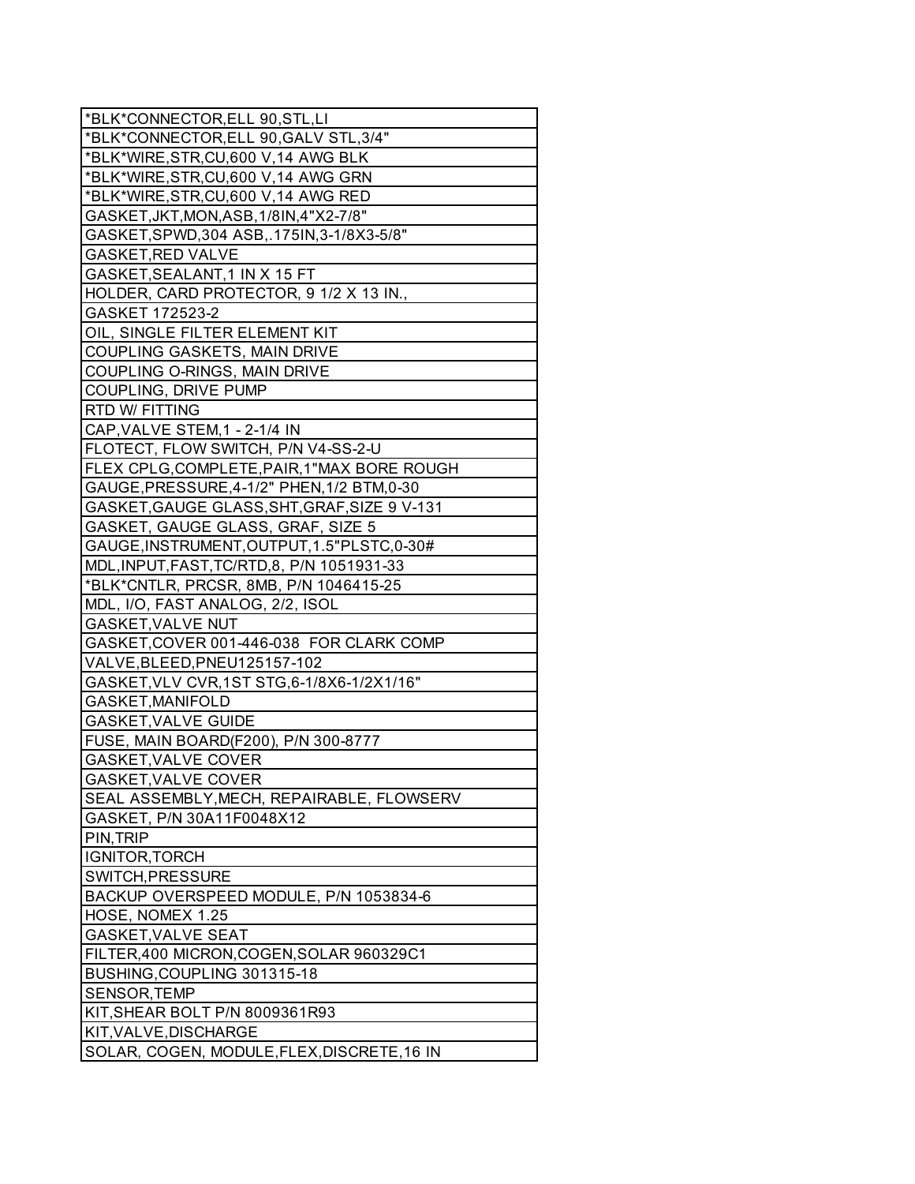| *BLK*CONNECTOR, ELL 90, STL, LI              |
|----------------------------------------------|
| *BLK*CONNECTOR, ELL 90, GALV STL, 3/4"       |
| *BLK*WIRE, STR, CU, 600 V, 14 AWG BLK        |
| *BLK*WIRE, STR, CU, 600 V, 14 AWG GRN        |
| *BLK*WIRE, STR, CU, 600 V, 14 AWG RED        |
| GASKET, JKT, MON, ASB, 1/8IN, 4"X2-7/8"      |
| GASKET, SPWD, 304 ASB, .175IN, 3-1/8X3-5/8"  |
| <b>GASKET, RED VALVE</b>                     |
| GASKET, SEALANT, 1 IN X 15 FT                |
| HOLDER, CARD PROTECTOR, 9 1/2 X 13 IN.,      |
| GASKET 172523-2                              |
| OIL, SINGLE FILTER ELEMENT KIT               |
| COUPLING GASKETS, MAIN DRIVE                 |
| COUPLING O-RINGS, MAIN DRIVE                 |
| COUPLING, DRIVE PUMP                         |
| RTD W/ FITTING                               |
| CAP, VALVE STEM, 1 - 2-1/4 IN                |
| FLOTECT, FLOW SWITCH, P/N V4-SS-2-U          |
| FLEX CPLG, COMPLETE, PAIR, 1"MAX BORE ROUGH  |
| GAUGE, PRESSURE, 4-1/2" PHEN, 1/2 BTM, 0-30  |
| GASKET, GAUGE GLASS, SHT, GRAF, SIZE 9 V-131 |
| GASKET, GAUGE GLASS, GRAF, SIZE 5            |
| GAUGE, INSTRUMENT, OUTPUT, 1.5" PLSTC, 0-30# |
| MDL, INPUT, FAST, TC/RTD, 8, P/N 1051931-33  |
| *BLK*CNTLR, PRCSR, 8MB, P/N 1046415-25       |
| MDL, I/O, FAST ANALOG, 2/2, ISOL             |
| GASKET, VALVE NUT                            |
| GASKET, COVER 001-446-038 FOR CLARK COMP     |
| VALVE, BLEED, PNEU125157-102                 |
| GASKET, VLV CVR, 1ST STG, 6-1/8X6-1/2X1/16"  |
| GASKET, MANIFOLD                             |
| <b>GASKET, VALVE GUIDE</b>                   |
| FUSE, MAIN BOARD(F200), P/N 300-8777         |
| GASKET, VALVE COVER                          |
| GASKET, VALVE COVER                          |
| SEAL ASSEMBLY, MECH, REPAIRABLE, FLOWSERV    |
| GASKET, P/N 30A11F0048X12                    |
| PIN, TRIP                                    |
| IGNITOR, TORCH                               |
| SWITCH, PRESSURE                             |
| BACKUP OVERSPEED MODULE, P/N 1053834-6       |
| HOSE, NOMEX 1.25                             |
| <b>GASKET, VALVE SEAT</b>                    |
| FILTER,400 MICRON, COGEN, SOLAR 960329C1     |
| BUSHING, COUPLING 301315-18                  |
| SENSOR, TEMP                                 |
| KIT, SHEAR BOLT P/N 8009361R93               |
| KIT, VALVE, DISCHARGE                        |
| SOLAR, COGEN, MODULE, FLEX, DISCRETE, 16 IN  |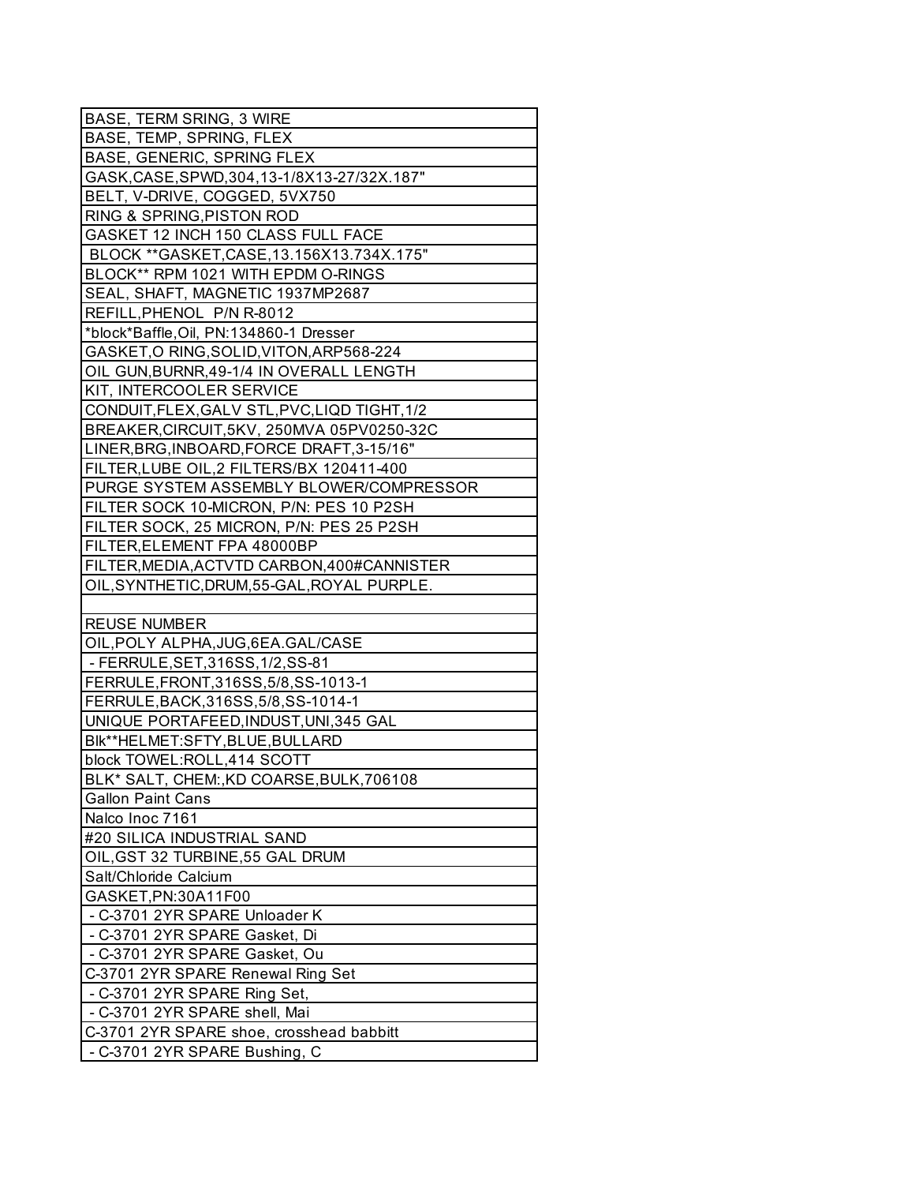| <b>BASE, TERM SRING, 3 WIRE</b>               |
|-----------------------------------------------|
| BASE, TEMP, SPRING, FLEX                      |
| <b>BASE, GENERIC, SPRING FLEX</b>             |
| GASK, CASE, SPWD, 304, 13-1/8X13-27/32X. 187" |
| BELT, V-DRIVE, COGGED, 5VX750                 |
| RING & SPRING, PISTON ROD                     |
| GASKET 12 INCH 150 CLASS FULL FACE            |
| BLOCK **GASKET, CASE, 13.156X13.734X.175"     |
| BLOCK** RPM 1021 WITH EPDM O-RINGS            |
| SEAL, SHAFT, MAGNETIC 1937MP2687              |
| REFILL, PHENOL P/N R-8012                     |
| *block*Baffle, Oil, PN:134860-1 Dresser       |
| GASKET, O RING, SOLID, VITON, ARP568-224      |
| OIL GUN, BURNR, 49-1/4 IN OVERALL LENGTH      |
| KIT, INTERCOOLER SERVICE                      |
| CONDUIT, FLEX, GALV STL, PVC, LIQD TIGHT, 1/2 |
| BREAKER, CIRCUIT, 5KV, 250MVA 05PV0250-32C    |
| LINER, BRG, INBOARD, FORCE DRAFT, 3-15/16"    |
| FILTER, LUBE OIL, 2 FILTERS/BX 120411-400     |
| PURGE SYSTEM ASSEMBLY BLOWER/COMPRESSOR       |
| FILTER SOCK 10-MICRON, P/N: PES 10 P2SH       |
| FILTER SOCK, 25 MICRON, P/N: PES 25 P2SH      |
| FILTER, ELEMENT FPA 48000BP                   |
| FILTER, MEDIA, ACTVTD CARBON, 400#CANNISTER   |
| OIL, SYNTHETIC, DRUM, 55-GAL, ROYAL PURPLE.   |
|                                               |
| <b>REUSE NUMBER</b>                           |
| OIL, POLY ALPHA, JUG, 6EA. GAL/CASE           |
| - FERRULE, SET, 316SS, 1/2, SS-81             |
| FERRULE, FRONT, 316SS, 5/8, SS-1013-1         |
| FERRULE, BACK, 316SS, 5/8, SS-1014-1          |
| UNIQUE PORTAFEED, INDUST, UNI, 345 GAL        |
| Blk**HELMET:SFTY,BLUE,BULLARD                 |
| block TOWEL:ROLL,414 SCOTT                    |
|                                               |
| BLK* SALT, CHEM:, KD COARSE, BULK, 706108     |
| <b>Gallon Paint Cans</b>                      |
| Nalco Inoc 7161                               |
| #20 SILICA INDUSTRIAL SAND                    |
| OIL, GST 32 TURBINE, 55 GAL DRUM              |
| Salt/Chloride Calcium                         |
| GASKET, PN: 30A11F00                          |
| - C-3701 2YR SPARE Unloader K                 |
| - C-3701 2YR SPARE Gasket, Di                 |
| - C-3701 2YR SPARE Gasket, Ou                 |
| C-3701 2YR SPARE Renewal Ring Set             |
| - C-3701 2YR SPARE Ring Set,                  |
| - C-3701 2YR SPARE shell, Mai                 |
| C-3701 2YR SPARE shoe, crosshead babbitt      |
| - C-3701 2YR SPARE Bushing, C                 |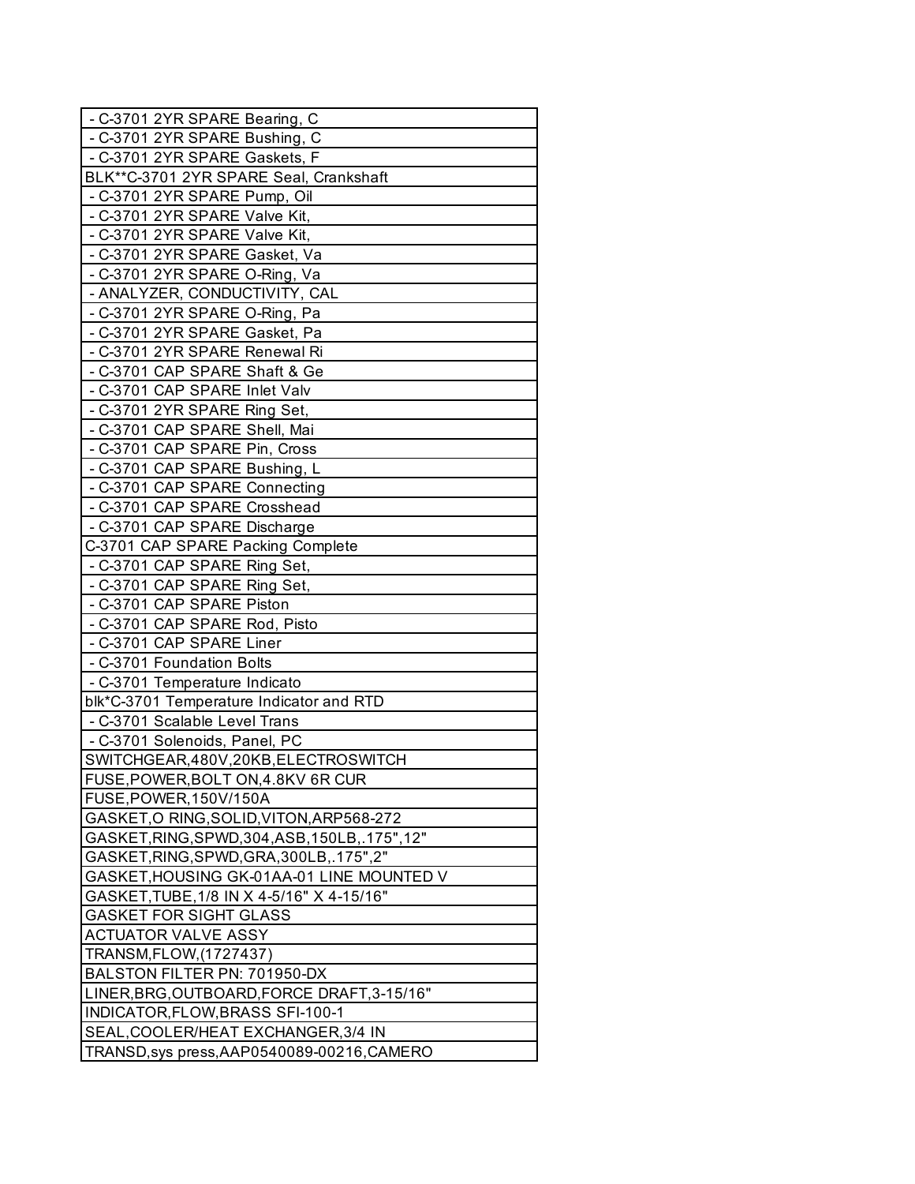| - C-3701 2YR SPARE Bearing, C                   |
|-------------------------------------------------|
| - C-3701 2YR SPARE Bushing, C                   |
| - C-3701 2YR SPARE Gaskets, F                   |
| BLK**C-3701 2YR SPARE Seal, Crankshaft          |
| - C-3701 2YR SPARE Pump, Oil                    |
| - C-3701 2YR SPARE Valve Kit,                   |
| - C-3701 2YR SPARE Valve Kit,                   |
| - C-3701 2YR SPARE Gasket, Va                   |
| - C-3701 2YR SPARE O-Ring, Va                   |
| - ANALYZER, CONDUCTIVITY, CAL                   |
| - C-3701 2YR SPARE O-Ring, Pa                   |
| - C-3701 2YR SPARE Gasket, Pa                   |
| - C-3701 2YR SPARE Renewal Ri                   |
| - C-3701 CAP SPARE Shaft & Ge                   |
| - C-3701 CAP SPARE Inlet Valv                   |
| - C-3701 2YR SPARE Ring Set,                    |
| - C-3701 CAP SPARE Shell, Mai                   |
| - C-3701 CAP SPARE Pin, Cross                   |
| - C-3701 CAP SPARE Bushing, L                   |
| - C-3701 CAP SPARE Connecting                   |
| - C-3701 CAP SPARE Crosshead                    |
| - C-3701 CAP SPARE Discharge                    |
| C-3701 CAP SPARE Packing Complete               |
| - C-3701 CAP SPARE Ring Set,                    |
| - C-3701 CAP SPARE Ring Set,                    |
| - C-3701 CAP SPARE Piston                       |
| - C-3701 CAP SPARE Rod, Pisto                   |
| - C-3701 CAP SPARE Liner                        |
| - C-3701 Foundation Bolts                       |
| - C-3701 Temperature Indicato                   |
| blk*C-3701 Temperature Indicator and RTD        |
| - C-3701 Scalable Level Trans                   |
| - C-3701 Solenoids, Panel, PC                   |
| SWITCHGEAR,480V,20KB,ELECTROSWITCH              |
| FUSE, POWER, BOLT ON, 4.8KV 6R CUR              |
| FUSE, POWER, 150V/150A                          |
| GASKET, O RING, SOLID, VITON, ARP568-272        |
| GASKET, RING, SPWD, 304, ASB, 150LB, .175", 12" |
| GASKET, RING, SPWD, GRA, 300LB, .175", 2"       |
| GASKET, HOUSING GK-01AA-01 LINE MOUNTED V       |
| GASKET, TUBE, 1/8 IN X 4-5/16" X 4-15/16"       |
| <b>GASKET FOR SIGHT GLASS</b>                   |
| <b>ACTUATOR VALVE ASSY</b>                      |
| TRANSM, FLOW, (1727437)                         |
| BALSTON FILTER PN: 701950-DX                    |
| LINER, BRG, OUTBOARD, FORCE DRAFT, 3-15/16"     |
| INDICATOR, FLOW, BRASS SFI-100-1                |
| SEAL, COOLER/HEAT EXCHANGER, 3/4 IN             |
| TRANSD, sys press, AAP0540089-00216, CAMERO     |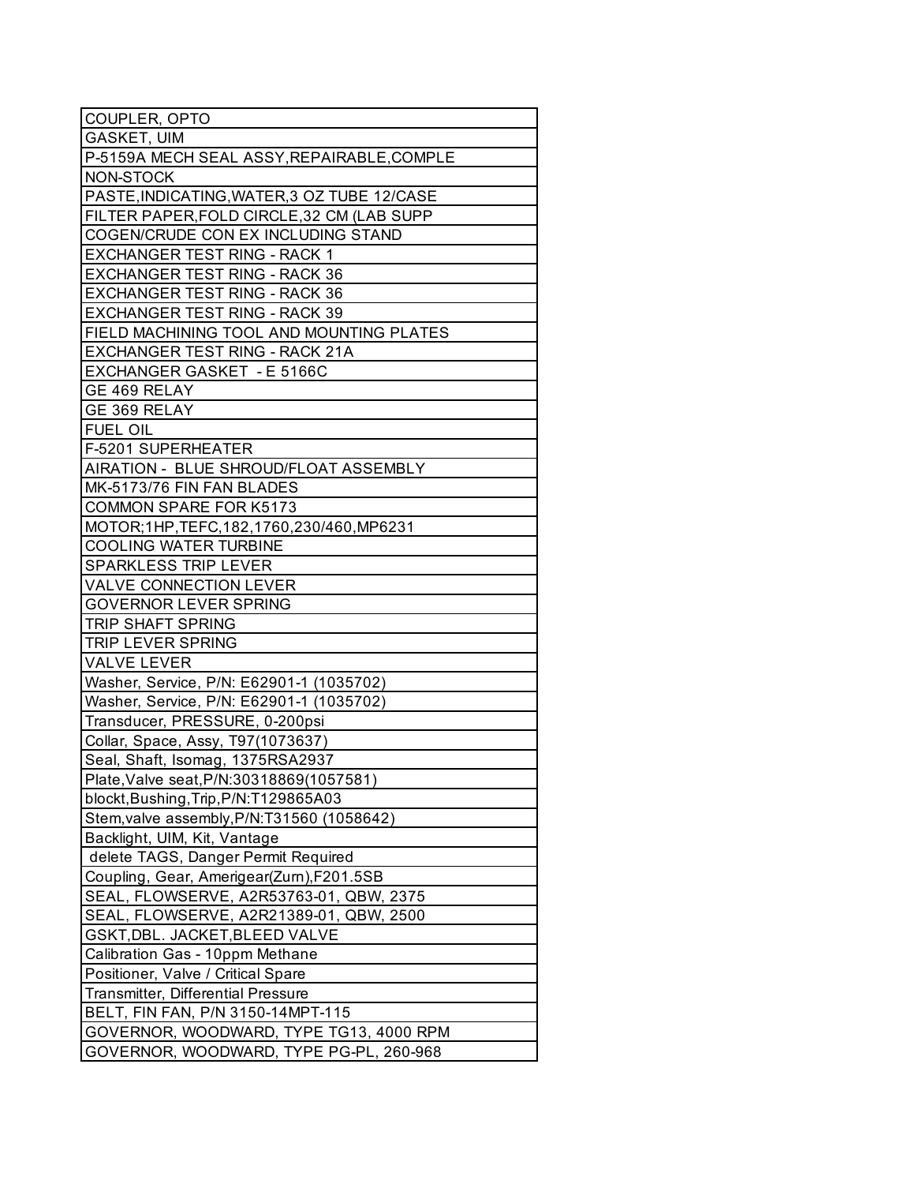| COUPLER, OPTO                                |
|----------------------------------------------|
| GASKET, UIM                                  |
| P-5159A MECH SEAL ASSY, REPAIRABLE, COMPLE   |
| NON-STOCK                                    |
| PASTE, INDICATING, WATER, 3 OZ TUBE 12/CASE  |
| FILTER PAPER, FOLD CIRCLE, 32 CM (LAB SUPP   |
| COGEN/CRUDE CON EX INCLUDING STAND           |
| EXCHANGER TEST RING - RACK 1                 |
| EXCHANGER TEST RING - RACK 36                |
| <b>EXCHANGER TEST RING - RACK 36</b>         |
| <b>EXCHANGER TEST RING - RACK 39</b>         |
| FIELD MACHINING TOOL AND MOUNTING PLATES     |
| EXCHANGER TEST RING - RACK 21A               |
| EXCHANGER GASKET - E 5166C                   |
| GE 469 RELAY                                 |
| GE 369 RELAY                                 |
| <b>FUEL OIL</b>                              |
| F-5201 SUPERHEATER                           |
| AIRATION - BLUE SHROUD/FLOAT ASSEMBLY        |
| MK-5173/76 FIN FAN BLADES                    |
| <b>COMMON SPARE FOR K5173</b>                |
| MOTOR; 1HP, TEFC, 182, 1760, 230/460, MP6231 |
| <b>COOLING WATER TURBINE</b>                 |
| <b>SPARKLESS TRIP LEVER</b>                  |
| <b>VALVE CONNECTION LEVER</b>                |
| <b>GOVERNOR LEVER SPRING</b>                 |
| <b>TRIP SHAFT SPRING</b>                     |
| TRIP LEVER SPRING                            |
| <b>VALVE LEVER</b>                           |
| Washer, Service, P/N: E62901-1 (1035702)     |
| Washer, Service, P/N: E62901-1 (1035702)     |
| Transducer, PRESSURE, 0-200psi               |
| Collar, Space, Assy, T97(1073637)            |
| Seal, Shaft, Isomag, 1375RSA2937             |
| Plate, Valve seat, P/N: 30318869(1057581)    |
| blockt, Bushing, Trip, P/N: T129865A03       |
| Stem, valve assembly, P/N: T31560 (1058642)  |
| Backlight, UIM, Kit, Vantage                 |
| delete TAGS, Danger Permit Required          |
| Coupling, Gear, Amerigear(Zurn), F201.5SB    |
| SEAL, FLOWSERVE, A2R53763-01, QBW, 2375      |
| SEAL, FLOWSERVE, A2R21389-01, QBW, 2500      |
| GSKT, DBL. JACKET, BLEED VALVE               |
| Calibration Gas - 10ppm Methane              |
| Positioner, Valve / Critical Spare           |
| Transmitter, Differential Pressure           |
| BELT, FIN FAN, P/N 3150-14MPT-115            |
| GOVERNOR, WOODWARD, TYPE TG13, 4000 RPM      |
| GOVERNOR, WOODWARD, TYPE PG-PL, 260-968      |
|                                              |